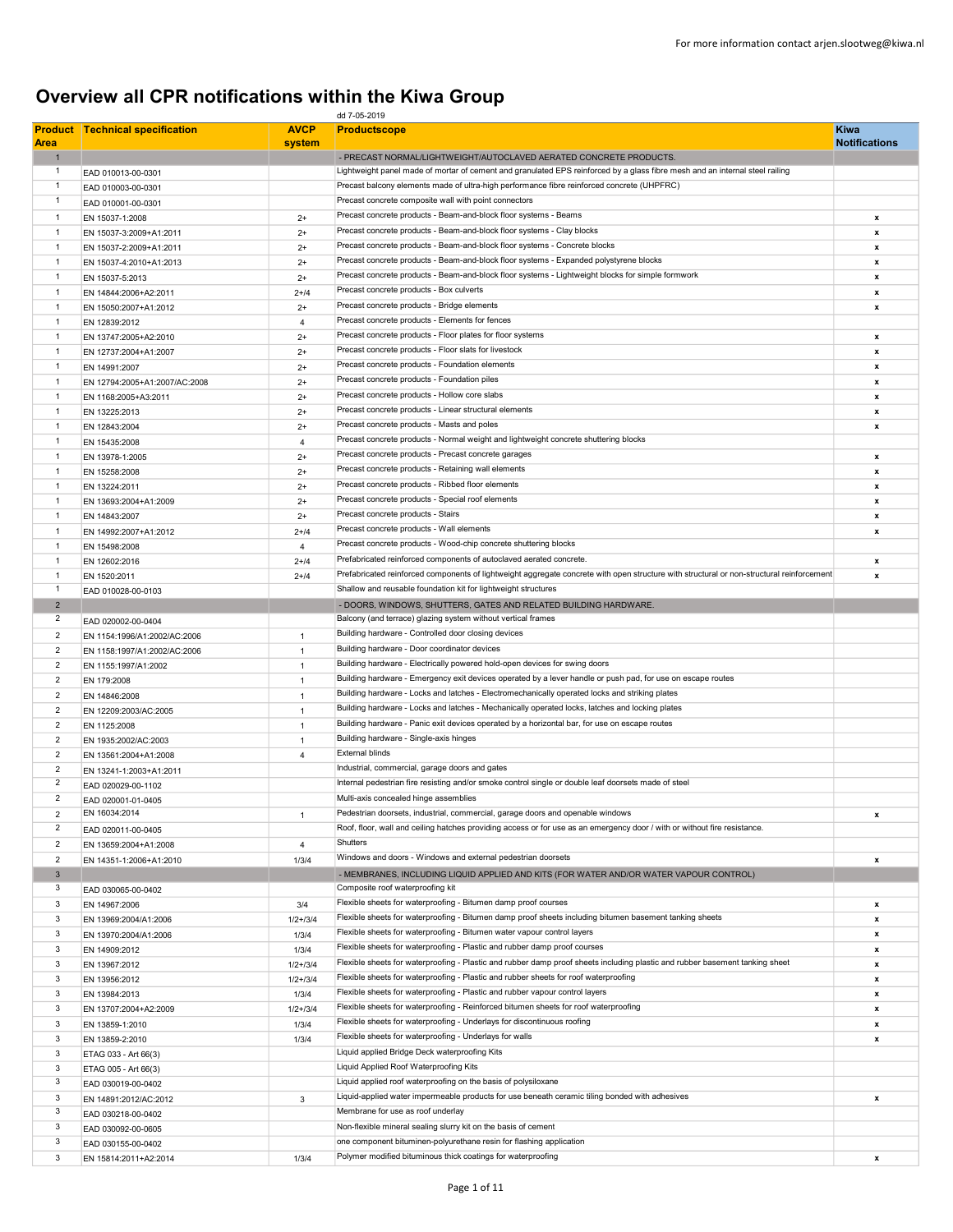## Overview all CPR notifications within the Kiwa Group

| dd 7-05-2019            |                                             |                |                                                                                                                                           |                      |
|-------------------------|---------------------------------------------|----------------|-------------------------------------------------------------------------------------------------------------------------------------------|----------------------|
| <b>Product</b>          | <b>Technical specification</b>              | <b>AVCP</b>    | <b>Productscope</b>                                                                                                                       | <b>Kiwa</b>          |
| <b>Area</b>             |                                             | system         |                                                                                                                                           | <b>Notifications</b> |
| $\mathbf{1}$            |                                             |                | - PRECAST NORMAL/LIGHTWEIGHT/AUTOCLAVED AERATED CONCRETE PRODUCTS.                                                                        |                      |
| 1                       | EAD 010013-00-0301                          |                | Lightweight panel made of mortar of cement and granulated EPS reinforced by a glass fibre mesh and an internal steel railing              |                      |
| 1                       | EAD 010003-00-0301                          |                | Precast balcony elements made of ultra-high performance fibre reinforced concrete (UHPFRC)                                                |                      |
| 1                       | EAD 010001-00-0301                          |                | Precast concrete composite wall with point connectors                                                                                     |                      |
| $\mathbf{1}$            | EN 15037-1:2008                             | $2+$           | Precast concrete products - Beam-and-block floor systems - Beams                                                                          | x                    |
| 1                       | EN 15037-3:2009+A1:2011                     | $2+$           | Precast concrete products - Beam-and-block floor systems - Clay blocks                                                                    | x                    |
| 1                       | EN 15037-2:2009+A1:2011                     | $2+$           | Precast concrete products - Beam-and-block floor systems - Concrete blocks                                                                | x                    |
| $\mathbf{1}$            | EN 15037-4:2010+A1:2013                     | $2+$           | Precast concrete products - Beam-and-block floor systems - Expanded polystyrene blocks                                                    | x                    |
| 1                       | EN 15037-5:2013                             | $2+$           | Precast concrete products - Beam-and-block floor systems - Lightweight blocks for simple formwork                                         | x                    |
| $\mathbf{1}$            | EN 14844:2006+A2:2011                       | $2 + 14$       | Precast concrete products - Box culverts                                                                                                  | x                    |
| 1                       | EN 15050:2007+A1:2012                       | $2+$           | Precast concrete products - Bridge elements                                                                                               | $\pmb{\mathsf{x}}$   |
| 1                       | EN 12839:2012                               | $\overline{4}$ | Precast concrete products - Elements for fences                                                                                           |                      |
| $\mathbf{1}$            | EN 13747:2005+A2:2010                       | $2+$           | Precast concrete products - Floor plates for floor systems                                                                                | x                    |
| 1                       | EN 12737:2004+A1:2007                       | $2+$           | Precast concrete products - Floor slats for livestock                                                                                     | x                    |
| $\mathbf{1}$            |                                             |                | Precast concrete products - Foundation elements                                                                                           |                      |
|                         | EN 14991:2007                               | $2+$           | Precast concrete products - Foundation piles                                                                                              | x                    |
| 1                       | EN 12794:2005+A1:2007/AC:2008               | $2+$           |                                                                                                                                           | $\pmb{\mathsf{x}}$   |
| 1                       | EN 1168:2005+A3:2011                        | $2+$           | Precast concrete products - Hollow core slabs                                                                                             | x                    |
| 1                       | EN 13225:2013                               | $2+$           | Precast concrete products - Linear structural elements                                                                                    | x                    |
| 1                       | EN 12843:2004                               | $2+$           | Precast concrete products - Masts and poles                                                                                               | x                    |
| $\mathbf{1}$            | EN 15435:2008                               | $\overline{4}$ | Precast concrete products - Normal weight and lightweight concrete shuttering blocks                                                      |                      |
| 1                       | EN 13978-1:2005                             | $2+$           | Precast concrete products - Precast concrete garages                                                                                      | x                    |
| 1                       | EN 15258:2008                               | $2+$           | Precast concrete products - Retaining wall elements                                                                                       | x                    |
| $\mathbf{1}$            | EN 13224:2011                               | $2+$           | Precast concrete products - Ribbed floor elements                                                                                         | x                    |
| 1                       | EN 13693:2004+A1:2009                       | $2+$           | Precast concrete products - Special roof elements                                                                                         | x                    |
| $\mathbf{1}$            | EN 14843:2007                               | $2+$           | Precast concrete products - Stairs                                                                                                        | x                    |
| 1                       | EN 14992:2007+A1:2012                       | $2 + 14$       | Precast concrete products - Wall elements                                                                                                 | x                    |
| 1                       | EN 15498:2008                               | $\overline{4}$ | Precast concrete products - Wood-chip concrete shuttering blocks                                                                          |                      |
| $\mathbf{1}$            | EN 12602:2016                               | $2 + 14$       | Prefabricated reinforced components of autoclaved aerated concrete.                                                                       | x                    |
| 1                       | EN 1520:2011                                | $2 + 14$       | Prefabricated reinforced components of lightweight aggregate concrete with open structure with structural or non-structural reinforcement | x                    |
| 1                       | EAD 010028-00-0103                          |                | Shallow and reusable foundation kit for lightweight structures                                                                            |                      |
| $\overline{2}$          |                                             |                | - DOORS, WINDOWS, SHUTTERS, GATES AND RELATED BUILDING HARDWARE.                                                                          |                      |
| 2                       |                                             |                | Balcony (and terrace) glazing system without vertical frames                                                                              |                      |
|                         | EAD 020002-00-0404                          |                | Building hardware - Controlled door closing devices                                                                                       |                      |
| 2                       | EN 1154:1996/A1:2002/AC:2006                | $\mathbf{1}$   |                                                                                                                                           |                      |
| $\overline{2}$          | EN 1158:1997/A1:2002/AC:2006                | $\overline{1}$ | Building hardware - Door coordinator devices                                                                                              |                      |
| 2                       | EN 1155:1997/A1:2002                        | $\mathbf{1}$   | Building hardware - Electrically powered hold-open devices for swing doors                                                                |                      |
| $\overline{c}$          | EN 179:2008                                 | $\overline{1}$ | Building hardware - Emergency exit devices operated by a lever handle or push pad, for use on escape routes                               |                      |
| $\overline{2}$          | EN 14846:2008                               | $\overline{1}$ | Building hardware - Locks and latches - Electromechanically operated locks and striking plates                                            |                      |
| $\overline{2}$          | EN 12209:2003/AC:2005                       | $\mathbf{1}$   | Building hardware - Locks and latches - Mechanically operated locks, latches and locking plates                                           |                      |
| $\overline{2}$          | EN 1125:2008                                | $\overline{1}$ | Building hardware - Panic exit devices operated by a horizontal bar, for use on escape routes                                             |                      |
| $\overline{2}$          | EN 1935:2002/AC:2003                        | $\mathbf{1}$   | Building hardware - Single-axis hinges                                                                                                    |                      |
| $\overline{2}$          | EN 13561:2004+A1:2008                       | $\overline{4}$ | <b>External blinds</b>                                                                                                                    |                      |
| $\overline{2}$          | EN 13241-1:2003+A1:2011                     |                | Industrial, commercial, garage doors and gates                                                                                            |                      |
| $\overline{\mathbf{c}}$ | EAD 020029-00-1102                          |                | Internal pedestrian fire resisting and/or smoke control single or double leaf doorsets made of steel                                      |                      |
| $\overline{2}$          | EAD 020001-01-0405                          |                | Multi-axis concealed hinge assemblies                                                                                                     |                      |
| 2                       | EN 16034:2014                               | $\mathbf{1}$   | Pedestrian doorsets, industrial, commercial, garage doors and openable windows                                                            | x                    |
| $\overline{2}$          |                                             |                | Roof, floor, wall and ceiling hatches providing access or for use as an emergency door / with or without fire resistance.                 |                      |
| $\overline{2}$          | EAD 020011-00-0405<br>EN 13659:2004+A1:2008 | $\overline{4}$ | Shutters                                                                                                                                  |                      |
| $\overline{2}$          |                                             |                | Windows and doors - Windows and external pedestrian doorsets                                                                              | x                    |
| $\mathbf{3}$            | EN 14351-1:2006+A1:2010                     | 1/3/4          |                                                                                                                                           |                      |
| 3                       |                                             |                | - MEMBRANES, INCLUDING LIQUID APPLIED AND KITS (FOR WATER AND/OR WATER VAPOUR CONTROL)<br>Composite roof waterproofing kit                |                      |
|                         | EAD 030065-00-0402                          |                | Flexible sheets for waterproofing - Bitumen damp proof courses                                                                            |                      |
| 3                       | EN 14967:2006                               | 3/4            |                                                                                                                                           | x                    |
| 3                       | EN 13969:2004/A1:2006                       | $1/2 + 3/4$    | Flexible sheets for waterproofing - Bitumen damp proof sheets including bitumen basement tanking sheets                                   | x                    |
| 3                       | EN 13970:2004/A1:2006                       | 1/3/4          | Flexible sheets for waterproofing - Bitumen water vapour control layers                                                                   | x                    |
| 3                       | EN 14909:2012                               | 1/3/4          | Flexible sheets for waterproofing - Plastic and rubber damp proof courses                                                                 | x                    |
| 3                       | EN 13967:2012                               | $1/2 + 3/4$    | Flexible sheets for waterproofing - Plastic and rubber damp proof sheets including plastic and rubber basement tanking sheet              | x                    |
| 3                       | EN 13956:2012                               | $1/2 + 3/4$    | Flexible sheets for waterproofing - Plastic and rubber sheets for roof waterproofing                                                      | $\pmb{\mathsf{x}}$   |
| 3                       | EN 13984:2013                               | 1/3/4          | Flexible sheets for waterproofing - Plastic and rubber vapour control layers                                                              | x                    |
| 3                       | EN 13707:2004+A2:2009                       | $1/2 + 3/4$    | Flexible sheets for waterproofing - Reinforced bitumen sheets for roof waterproofing                                                      | x                    |
| 3                       | EN 13859-1:2010                             | 1/3/4          | Flexible sheets for waterproofing - Underlays for discontinuous roofing                                                                   | x                    |
| 3                       | EN 13859-2:2010                             | 1/3/4          | Flexible sheets for waterproofing - Underlays for walls                                                                                   | x                    |
| 3                       | ETAG 033 - Art 66(3)                        |                | Liquid applied Bridge Deck waterproofing Kits                                                                                             |                      |
| 3                       | ETAG 005 - Art 66(3)                        |                | Liquid Applied Roof Waterproofing Kits                                                                                                    |                      |
| 3                       | EAD 030019-00-0402                          |                | Liquid applied roof waterproofing on the basis of polysiloxane                                                                            |                      |
| 3                       | EN 14891:2012/AC:2012                       | 3              | Liquid-applied water impermeable products for use beneath ceramic tiling bonded with adhesives                                            | x                    |
| 3                       |                                             |                | Membrane for use as roof underlay                                                                                                         |                      |
| 3                       | EAD 030218-00-0402                          |                | Non-flexible mineral sealing slurry kit on the basis of cement                                                                            |                      |
| 3                       | EAD 030092-00-0605                          |                | one component bituminen-polyurethane resin for flashing application                                                                       |                      |
|                         | EAD 030155-00-0402                          |                | Polymer modified bituminous thick coatings for waterproofing                                                                              |                      |
| 3                       | EN 15814:2011+A2:2014                       | 1/3/4          |                                                                                                                                           | x                    |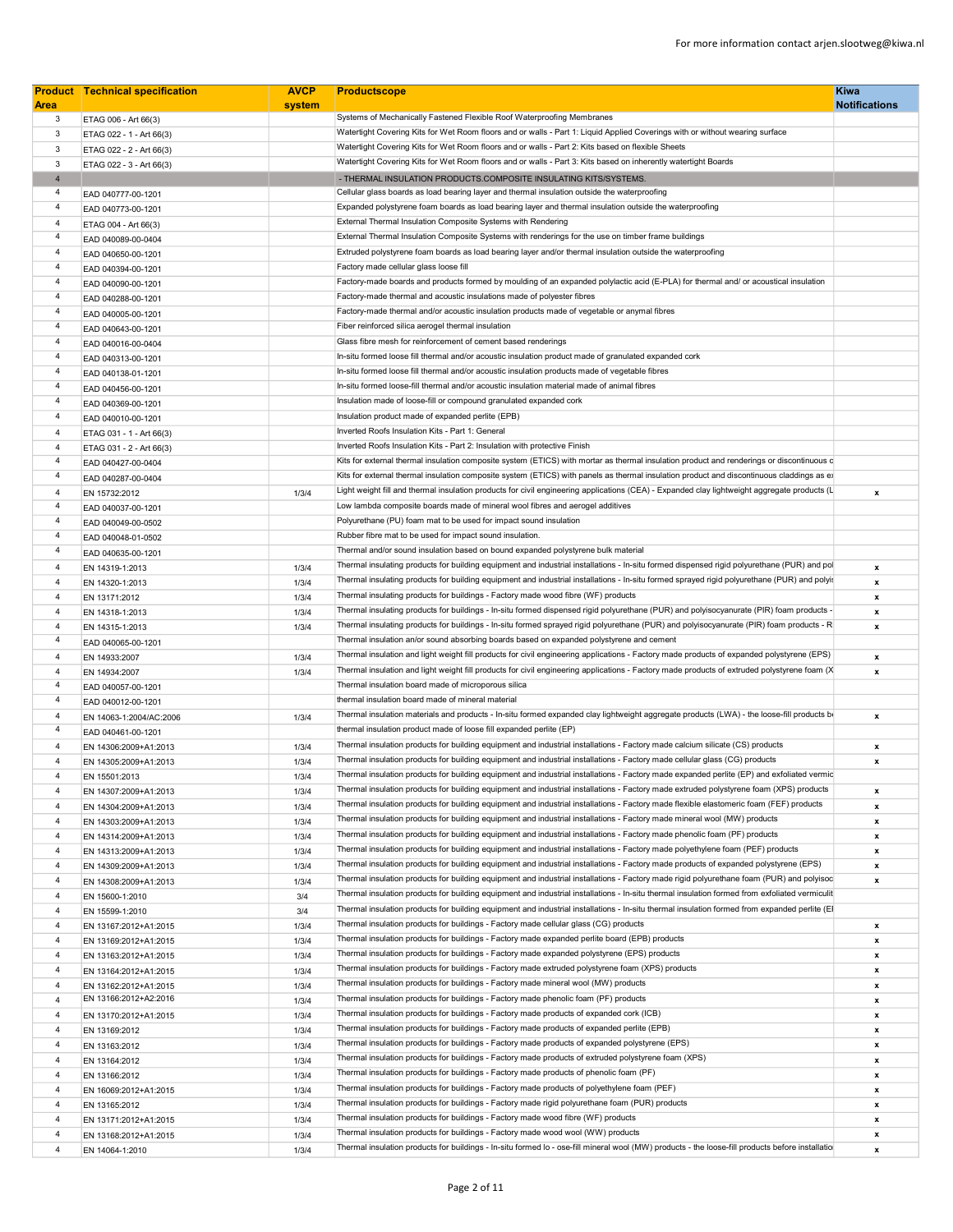|                | <b>Product Technical specification</b> | <b>AVCP</b> | <b>Productscope</b>                                                                                                                              | <b>Kiwa</b>               |
|----------------|----------------------------------------|-------------|--------------------------------------------------------------------------------------------------------------------------------------------------|---------------------------|
| <b>Area</b>    |                                        | system      | Systems of Mechanically Fastened Flexible Roof Waterproofing Membranes                                                                           | <b>Notifications</b>      |
| $\mathbf{3}$   | ETAG 006 - Art 66(3)                   |             |                                                                                                                                                  |                           |
| 3              | ETAG 022 - 1 - Art 66(3)               |             | Watertight Covering Kits for Wet Room floors and or walls - Part 1: Liquid Applied Coverings with or without wearing surface                     |                           |
| 3              | ETAG 022 - 2 - Art 66(3)               |             | Watertight Covering Kits for Wet Room floors and or walls - Part 2: Kits based on flexible Sheets                                                |                           |
| 3              | ETAG 022 - 3 - Art 66(3)               |             | Watertight Covering Kits for Wet Room floors and or walls - Part 3: Kits based on inherently watertight Boards                                   |                           |
| $\overline{4}$ |                                        |             | - THERMAL INSULATION PRODUCTS.COMPOSITE INSULATING KITS/SYSTEMS.                                                                                 |                           |
| $\overline{4}$ | EAD 040777-00-1201                     |             | Cellular glass boards as load bearing layer and thermal insulation outside the waterproofing                                                     |                           |
| $\overline{4}$ | EAD 040773-00-1201                     |             | Expanded polystyrene foam boards as load bearing layer and thermal insulation outside the waterproofing                                          |                           |
| $\overline{4}$ | ETAG 004 - Art 66(3)                   |             | External Thermal Insulation Composite Systems with Rendering                                                                                     |                           |
| $\overline{4}$ | EAD 040089-00-0404                     |             | External Thermal Insulation Composite Systems with renderings for the use on timber frame buildings                                              |                           |
| $\overline{4}$ | EAD 040650-00-1201                     |             | Extruded polystyrene foam boards as load bearing layer and/or thermal insulation outside the waterproofing                                       |                           |
| $\overline{4}$ | EAD 040394-00-1201                     |             | Factory made cellular glass loose fill                                                                                                           |                           |
| $\overline{4}$ | EAD 040090-00-1201                     |             | Factory-made boards and products formed by moulding of an expanded polylactic acid (E-PLA) for thermal and/ or acoustical insulation             |                           |
| $\overline{4}$ | EAD 040288-00-1201                     |             | Factory-made thermal and acoustic insulations made of polyester fibres                                                                           |                           |
| $\overline{4}$ | EAD 040005-00-1201                     |             | Factory-made thermal and/or acoustic insulation products made of vegetable or anymal fibres                                                      |                           |
| $\overline{4}$ | EAD 040643-00-1201                     |             | Fiber reinforced silica aerogel thermal insulation                                                                                               |                           |
| $\overline{4}$ | EAD 040016-00-0404                     |             | Glass fibre mesh for reinforcement of cement based renderings                                                                                    |                           |
| $\overline{4}$ | EAD 040313-00-1201                     |             | In-situ formed loose fill thermal and/or acoustic insulation product made of granulated expanded cork                                            |                           |
| $\overline{4}$ | EAD 040138-01-1201                     |             | In-situ formed loose fill thermal and/or acoustic insulation products made of vegetable fibres                                                   |                           |
| $\overline{4}$ | EAD 040456-00-1201                     |             | In-situ formed loose-fill thermal and/or acoustic insulation material made of animal fibres                                                      |                           |
| $\overline{4}$ | EAD 040369-00-1201                     |             | Insulation made of loose-fill or compound granulated expanded cork                                                                               |                           |
| $\overline{4}$ |                                        |             | Insulation product made of expanded perlite (EPB)                                                                                                |                           |
|                | EAD 040010-00-1201                     |             | Inverted Roofs Insulation Kits - Part 1: General                                                                                                 |                           |
| $\overline{4}$ | ETAG 031 - 1 - Art 66(3)               |             | Inverted Roofs Insulation Kits - Part 2: Insulation with protective Finish                                                                       |                           |
| $\overline{4}$ | ETAG 031 - 2 - Art 66(3)               |             |                                                                                                                                                  |                           |
| $\overline{4}$ | EAD 040427-00-0404                     |             | Kits for external thermal insulation composite system (ETICS) with mortar as thermal insulation product and renderings or discontinuous c        |                           |
| $\overline{4}$ | EAD 040287-00-0404                     |             | Kits for external thermal insulation composite system (ETICS) with panels as thermal insulation product and discontinuous claddings as ex        |                           |
| $\overline{4}$ | EN 15732:2012                          | 1/3/4       | Light weight fill and thermal insulation products for civil engineering applications (CEA) - Expanded clay lightweight aggregate products (L     | $\boldsymbol{\mathsf{x}}$ |
| $\overline{4}$ | EAD 040037-00-1201                     |             | Low lambda composite boards made of mineral wool fibres and aerogel additives                                                                    |                           |
| $\overline{4}$ | EAD 040049-00-0502                     |             | Polyurethane (PU) foam mat to be used for impact sound insulation                                                                                |                           |
| $\overline{4}$ | EAD 040048-01-0502                     |             | Rubber fibre mat to be used for impact sound insulation.                                                                                         |                           |
| $\overline{4}$ | EAD 040635-00-1201                     |             | Thermal and/or sound insulation based on bound expanded polystyrene bulk material                                                                |                           |
| $\overline{4}$ | EN 14319-1:2013                        | 1/3/4       | Thermal insulating products for building equipment and industrial installations - In-situ formed dispensed rigid polyurethane (PUR) and pol      | $\boldsymbol{\mathsf{x}}$ |
| $\overline{4}$ | EN 14320-1:2013                        | 1/3/4       | Thermal insulating products for building equipment and industrial installations - In-situ formed sprayed rigid polyurethane (PUR) and polyis     | $\boldsymbol{\mathsf{x}}$ |
| $\overline{4}$ | EN 13171:2012                          | 1/3/4       | Thermal insulating products for buildings - Factory made wood fibre (WF) products                                                                | $\boldsymbol{\mathsf{x}}$ |
| $\overline{4}$ | EN 14318-1:2013                        | 1/3/4       | Thermal insulating products for buildings - In-situ formed dispensed rigid polyurethane (PUR) and polyisocyanurate (PIR) foam products -         | $\boldsymbol{\mathsf{x}}$ |
| $\overline{4}$ | EN 14315-1:2013                        | 1/3/4       | Thermal insulating products for buildings - In-situ formed sprayed rigid polyurethane (PUR) and polyisocyanurate (PIR) foam products - R         | x                         |
| $\overline{4}$ | EAD 040065-00-1201                     |             | Thermal insulation an/or sound absorbing boards based on expanded polystyrene and cement                                                         |                           |
| $\overline{4}$ |                                        |             | Thermal insulation and light weight fill products for civil engineering applications - Factory made products of expanded polystyrene (EPS)       |                           |
| $\overline{4}$ | EN 14933:2007                          | 1/3/4       | Thermal insulation and light weight fill products for civil engineering applications - Factory made products of extruded polystyrene foam (X     | $\boldsymbol{\mathsf{x}}$ |
| $\overline{4}$ | EN 14934:2007                          | 1/3/4       |                                                                                                                                                  | $\boldsymbol{\mathsf{x}}$ |
|                | EAD 040057-00-1201                     |             | Thermal insulation board made of microporous silica                                                                                              |                           |
| $\overline{4}$ | EAD 040012-00-1201                     |             | thermal insulation board made of mineral material                                                                                                |                           |
| $\overline{4}$ | EN 14063-1:2004/AC:2006                | 1/3/4       | Thermal insulation materials and products - In-situ formed expanded clay lightweight aggregate products (LWA) - the loose-fill products be       | $\boldsymbol{\mathsf{x}}$ |
| $\overline{4}$ | EAD 040461-00-1201                     |             | thermal insulation product made of loose fill expanded perlite (EP)                                                                              |                           |
| $\overline{4}$ | EN 14306:2009+A1:2013                  | 1/3/4       | Thermal insulation products for building equipment and industrial installations - Factory made calcium silicate (CS) products                    | x                         |
| $\overline{4}$ | EN 14305:2009+A1:2013                  | 1/3/4       | Thermal insulation products for building equipment and industrial installations - Factory made cellular glass (CG) products                      | $\mathbf{x}$              |
| $\Delta$       | EN 15501:2013                          | 1/3/4       | Thermal insulation products for building equipment and industrial installations - Factory made expanded perlite (EP) and exfoliated vermic       |                           |
| $\overline{4}$ | EN 14307:2009+A1:2013                  | 1/3/4       | Thermal insulation products for building equipment and industrial installations - Factory made extruded polystyrene foam (XPS) products          | $\boldsymbol{x}$          |
| $\overline{4}$ | EN 14304:2009+A1:2013                  | 1/3/4       | Thermal insulation products for building equipment and industrial installations - Factory made flexible elastomeric foam (FEF) products          | x                         |
| $\overline{4}$ | EN 14303:2009+A1:2013                  | 1/3/4       | Thermal insulation products for building equipment and industrial installations - Factory made mineral wool (MW) products                        | x                         |
| $\overline{4}$ | EN 14314:2009+A1:2013                  | 1/3/4       | Thermal insulation products for building equipment and industrial installations - Factory made phenolic foam (PF) products                       | $\boldsymbol{\mathsf{x}}$ |
| $\overline{4}$ | EN 14313:2009+A1:2013                  | 1/3/4       | Thermal insulation products for building equipment and industrial installations - Factory made polyethylene foam (PEF) products                  | x                         |
| $\overline{4}$ | EN 14309:2009+A1:2013                  | 1/3/4       | Thermal insulation products for building equipment and industrial installations - Factory made products of expanded polystyrene (EPS)            | $\boldsymbol{\mathsf{x}}$ |
| $\overline{4}$ | EN 14308:2009+A1:2013                  | 1/3/4       | Thermal insulation products for building equipment and industrial installations - Factory made rigid polyurethane foam (PUR) and polyisoc        | $\boldsymbol{\mathsf{x}}$ |
| $\overline{4}$ | EN 15600-1:2010                        | 3/4         | Thermal insulation products for building equipment and industrial installations - In-situ thermal insulation formed from exfoliated vermiculit   |                           |
| $\overline{4}$ | EN 15599-1:2010                        | 3/4         | Thermal insulation products for building equipment and industrial installations - In-situ thermal insulation formed from expanded perlite (EI    |                           |
| $\overline{4}$ | EN 13167:2012+A1:2015                  | 1/3/4       | Thermal insulation products for buildings - Factory made cellular glass (CG) products                                                            | x                         |
| $\overline{4}$ |                                        | 1/3/4       | Thermal insulation products for buildings - Factory made expanded perlite board (EPB) products                                                   | $\pmb{\chi}$              |
| $\overline{4}$ | EN 13169:2012+A1:2015                  |             | Thermal insulation products for buildings - Factory made expanded polystyrene (EPS) products                                                     |                           |
|                | EN 13163:2012+A1:2015                  | 1/3/4       | Thermal insulation products for buildings - Factory made extruded polystyrene foam (XPS) products                                                | x                         |
| $\overline{4}$ | EN 13164:2012+A1:2015                  | 1/3/4       |                                                                                                                                                  | $\mathbf{x}$              |
| $\overline{4}$ | EN 13162:2012+A1:2015                  | 1/3/4       | Thermal insulation products for buildings - Factory made mineral wool (MW) products                                                              | x                         |
| $\overline{4}$ | EN 13166:2012+A2:2016                  | 1/3/4       | Thermal insulation products for buildings - Factory made phenolic foam (PF) products                                                             | x                         |
| $\overline{4}$ | EN 13170:2012+A1:2015                  | 1/3/4       | Thermal insulation products for buildings - Factory made products of expanded cork (ICB)                                                         | $\pmb{\chi}$              |
| $\overline{4}$ | EN 13169:2012                          | 1/3/4       | Thermal insulation products for buildings - Factory made products of expanded perlite (EPB)                                                      | x                         |
| $\overline{4}$ | EN 13163:2012                          | 1/3/4       | Thermal insulation products for buildings - Factory made products of expanded polystyrene (EPS)                                                  | $\mathbf{x}$              |
| $\overline{4}$ | EN 13164:2012                          | 1/3/4       | Thermal insulation products for buildings - Factory made products of extruded polystyrene foam (XPS)                                             | x                         |
| $\overline{4}$ | EN 13166:2012                          | 1/3/4       | Thermal insulation products for buildings - Factory made products of phenolic foam (PF)                                                          | x                         |
| $\overline{4}$ | EN 16069:2012+A1:2015                  | 1/3/4       | Thermal insulation products for buildings - Factory made products of polyethylene foam (PEF)                                                     | $\pmb{\chi}$              |
| $\overline{4}$ | EN 13165:2012                          | 1/3/4       | Thermal insulation products for buildings - Factory made rigid polyurethane foam (PUR) products                                                  | $\mathbf{x}$              |
| $\overline{4}$ | EN 13171:2012+A1:2015                  | 1/3/4       | Thermal insulation products for buildings - Factory made wood fibre (WF) products                                                                | x                         |
| $\overline{4}$ | EN 13168:2012+A1:2015                  | 1/3/4       | Thermal insulation products for buildings - Factory made wood wool (WW) products                                                                 | $\boldsymbol{\mathsf{x}}$ |
| $\overline{4}$ | EN 14064-1:2010                        | 1/3/4       | Thermal insulation products for buildings - In-situ formed lo - ose-fill mineral wool (MW) products - the loose-fill products before installatio | x                         |
|                |                                        |             |                                                                                                                                                  |                           |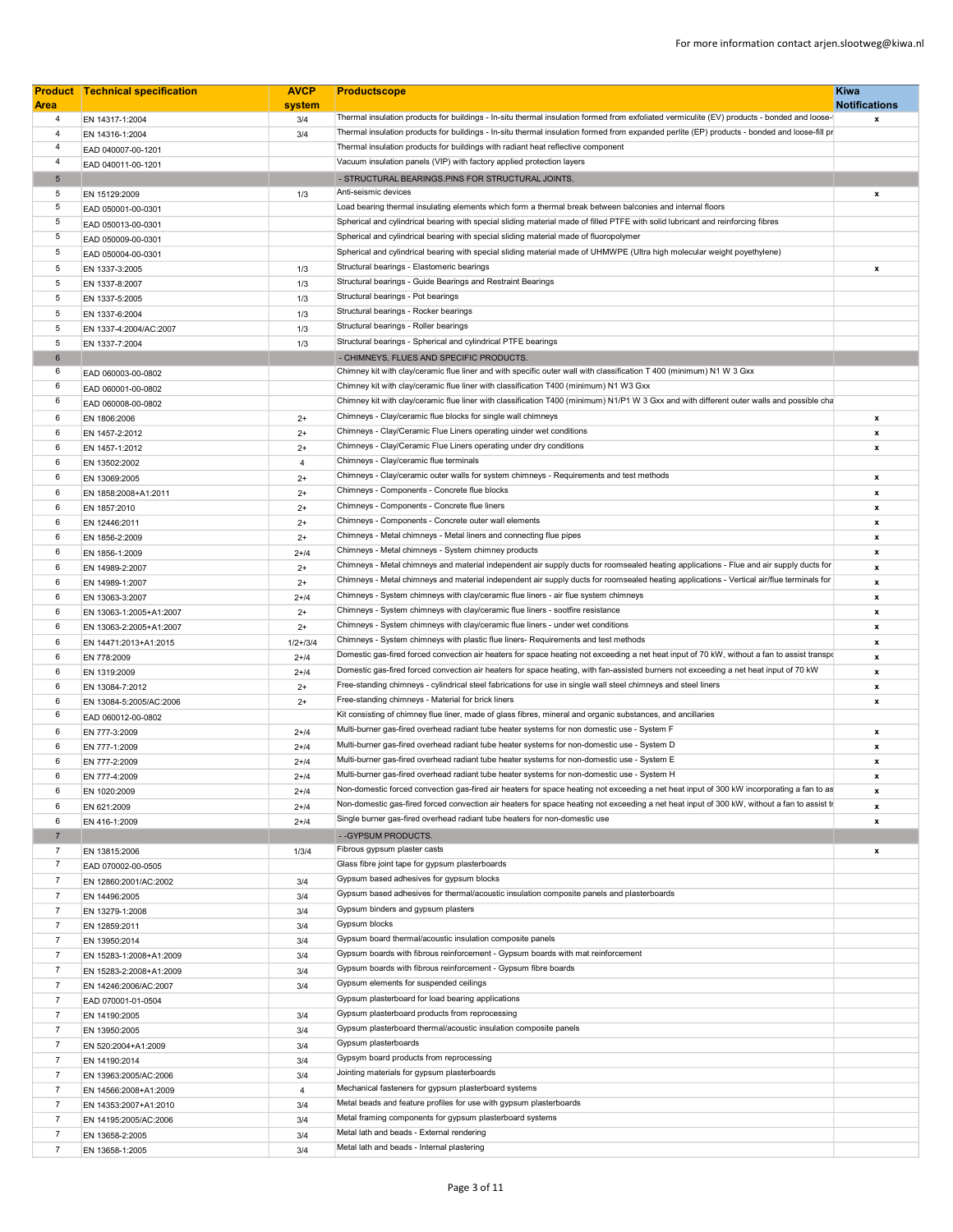|                                  | <b>Product Technical specification</b> | <b>AVCP</b>    | <b>Productscope</b>                                                                                                                          | Kiwa                                              |
|----------------------------------|----------------------------------------|----------------|----------------------------------------------------------------------------------------------------------------------------------------------|---------------------------------------------------|
| <b>Area</b><br>$\overline{4}$    |                                        | system         | Thermal insulation products for buildings - In-situ thermal insulation formed from exfoliated vermiculite (EV) products - bonded and loose-  | <b>Notifications</b><br>$\boldsymbol{\mathsf{x}}$ |
|                                  | EN 14317-1:2004                        | 3/4            | Thermal insulation products for buildings - In-situ thermal insulation formed from expanded perlite (EP) products - bonded and loose-fill pr |                                                   |
| $\overline{4}$<br>$\overline{4}$ | EN 14316-1:2004                        | 3/4            | Thermal insulation products for buildings with radiant heat reflective component                                                             |                                                   |
|                                  | EAD 040007-00-1201                     |                |                                                                                                                                              |                                                   |
| $\overline{4}$                   | EAD 040011-00-1201                     |                | Vacuum insulation panels (VIP) with factory applied protection layers                                                                        |                                                   |
| $5\overline{5}$                  |                                        |                | - STRUCTURAL BEARINGS.PINS FOR STRUCTURAL JOINTS.                                                                                            |                                                   |
| 5                                | EN 15129:2009                          | 1/3            | Anti-seismic devices                                                                                                                         | $\mathbf{x}$                                      |
| 5                                | EAD 050001-00-0301                     |                | Load bearing thermal insulating elements which form a thermal break between balconies and internal floors                                    |                                                   |
| 5                                | EAD 050013-00-0301                     |                | Spherical and cylindrical bearing with special sliding material made of filled PTFE with solid lubricant and reinforcing fibres              |                                                   |
| 5                                | EAD 050009-00-0301                     |                | Spherical and cylindrical bearing with special sliding material made of fluoropolymer                                                        |                                                   |
| 5                                | EAD 050004-00-0301                     |                | Spherical and cylindrical bearing with special sliding material made of UHMWPE (Ultra high molecular weight poyethylene)                     |                                                   |
| 5                                | EN 1337-3:2005                         | 1/3            | Structural bearings - Elastomeric bearings                                                                                                   | x                                                 |
| 5                                |                                        |                | Structural bearings - Guide Bearings and Restraint Bearings                                                                                  |                                                   |
|                                  | EN 1337-8:2007                         | 1/3            | Structural bearings - Pot bearings                                                                                                           |                                                   |
| 5                                | EN 1337-5:2005                         | 1/3            |                                                                                                                                              |                                                   |
| $5\phantom{.0}$                  | EN 1337-6:2004                         | 1/3            | Structural bearings - Rocker bearings                                                                                                        |                                                   |
| 5                                | EN 1337-4:2004/AC:2007                 | 1/3            | Structural bearings - Roller bearings                                                                                                        |                                                   |
| 5                                | EN 1337-7:2004                         | 1/3            | Structural bearings - Spherical and cylindrical PTFE bearings                                                                                |                                                   |
| 6                                |                                        |                | - CHIMNEYS, FLUES AND SPECIFIC PRODUCTS.                                                                                                     |                                                   |
| 6                                | EAD 060003-00-0802                     |                | Chimney kit with clay/ceramic flue liner and with specific outer wall with classification T 400 (minimum) N1 W 3 Gxx                         |                                                   |
| 6                                | EAD 060001-00-0802                     |                | Chimney kit with clay/ceramic flue liner with classification T400 (minimum) N1 W3 Gxx                                                        |                                                   |
| 6                                | EAD 060008-00-0802                     |                | Chimney kit with clay/ceramic flue liner with classification T400 (minimum) N1/P1 W 3 Gxx and with different outer walls and possible cha    |                                                   |
| 6                                | EN 1806:2006                           | $2+$           | Chimneys - Clay/ceramic flue blocks for single wall chimneys                                                                                 | $\mathbf{x}$                                      |
| 6                                |                                        | $2+$           | Chimneys - Clay/Ceramic Flue Liners operating uinder wet conditions                                                                          | $\pmb{\mathsf{x}}$                                |
|                                  | EN 1457-2:2012                         |                | Chimneys - Clay/Ceramic Flue Liners operating under dry conditions                                                                           |                                                   |
| 6                                | EN 1457-1:2012                         | $2+$           | Chimneys - Clay/ceramic flue terminals                                                                                                       | x                                                 |
| 6                                | EN 13502:2002                          | $\overline{4}$ |                                                                                                                                              |                                                   |
| 6                                | EN 13069:2005                          | $2+$           | Chimneys - Clay/ceramic outer walls for system chimneys - Requirements and test methods                                                      | $\boldsymbol{\mathsf{x}}$                         |
| 6                                | EN 1858:2008+A1:2011                   | $2+$           | Chimneys - Components - Concrete flue blocks                                                                                                 | $\mathbf{x}$                                      |
| 6                                | EN 1857:2010                           | $2+$           | Chimneys - Components - Concrete flue liners                                                                                                 | $\boldsymbol{x}$                                  |
| 6                                | EN 12446:2011                          | $2+$           | Chimneys - Components - Concrete outer wall elements                                                                                         | $\pmb{\mathsf{x}}$                                |
| 6                                | EN 1856-2:2009                         | $2+$           | Chimneys - Metal chimneys - Metal liners and connecting flue pipes                                                                           | $\mathbf x$                                       |
| 6                                | EN 1856-1:2009                         | $2 + 14$       | Chimneys - Metal chimneys - System chimney products                                                                                          | x                                                 |
| 6                                | EN 14989-2:2007                        | $2+$           | Chimneys - Metal chimneys and material independent air supply ducts for roomsealed heating applications - Flue and air supply ducts for      | $\boldsymbol{\mathsf{x}}$                         |
| 6                                | EN 14989-1:2007                        | $2+$           | Chimneys - Metal chimneys and material independent air supply ducts for roomsealed heating applications - Vertical air/flue terminals for    | $\mathbf{x}$                                      |
| 6                                |                                        | $2 + 14$       | Chimneys - System chimneys with clay/ceramic flue liners - air flue system chimneys                                                          | $\pmb{\mathsf{x}}$                                |
|                                  | EN 13063-3:2007                        |                | Chimneys - System chimneys with clay/ceramic flue liners - sootfire resistance                                                               |                                                   |
| 6                                | EN 13063-1:2005+A1:2007                | $2+$           |                                                                                                                                              | $\boldsymbol{x}$                                  |
| 6                                | EN 13063-2:2005+A1:2007                | $2+$           | Chimneys - System chimneys with clay/ceramic flue liners - under wet conditions                                                              | $\boldsymbol{\mathsf{x}}$                         |
| 6                                | EN 14471:2013+A1:2015                  | $1/2 + 3/4$    | Chimneys - System chimneys with plastic flue liners- Requirements and test methods                                                           | $\mathbf{x}$                                      |
| 6                                | EN 778:2009                            | $2 + 14$       | Domestic gas-fired forced convection air heaters for space heating not exceeding a net heat input of 70 kW, without a fan to assist transpo  | $\mathbf{x}$                                      |
| 6                                | EN 1319:2009                           | $2+14$         | Domestic gas-fired forced convection air heaters for space heating, with fan-assisted burners not exceeding a net heat input of 70 kW        | $\pmb{\mathsf{x}}$                                |
| 6                                | EN 13084-7:2012                        | $2+$           | Free-standing chimneys - cylindrical steel fabrications for use in single wall steel chimneys and steel liners                               | $\mathbf{x}$                                      |
| 6                                | EN 13084-5:2005/AC:2006                | $2+$           | Free-standing chimneys - Material for brick liners                                                                                           | x                                                 |
| 6                                | EAD 060012-00-0802                     |                | Kit consisting of chimney flue liner, made of glass fibres, mineral and organic substances, and ancillaries                                  |                                                   |
| 6                                | EN 777-3:2009                          | $2+14$         | Multi-burner gas-fired overhead radiant tube heater systems for non domestic use - System F                                                  | x                                                 |
| 6                                |                                        | $2 + 14$       | Multi-burner gas-fired overhead radiant tube heater systems for non-domestic use - System D                                                  | $\pmb{\mathsf{x}}$                                |
|                                  | EN 777-1:2009                          |                | Multi-burner gas-fired overhead radiant tube heater systems for non-domestic use - System E                                                  |                                                   |
| 6                                | EN 777-2:2009                          | $2 + 14$       | Multi-burner gas-fired overhead radiant tube heater systems for non-domestic use - System H                                                  | $\boldsymbol{x}$                                  |
| 6                                | EN 777-4:2009                          | $2 + 14$       |                                                                                                                                              | x                                                 |
| 6                                | EN 1020:2009                           | $2 + 14$       | Non-domestic forced convection gas-fired air heaters for space heating not exceeding a net heat input of 300 kW incorporating a fan to as    | $\mathbf{x}$                                      |
| 6                                | EN 621:2009                            | $2 + 14$       | Non-domestic gas-fired forced convection air heaters for space heating not exceeding a net heat input of 300 kW, without a fan to assist tr  | x                                                 |
| 6                                | EN 416-1:2009                          | $2 + 14$       | Single burner gas-fired overhead radiant tube heaters for non-domestic use                                                                   | x                                                 |
| $\overline{7}$                   |                                        |                | -- GYPSUM PRODUCTS.                                                                                                                          |                                                   |
| $\overline{7}$                   | EN 13815:2006                          | 1/3/4          | Fibrous gypsum plaster casts                                                                                                                 | $\pmb{\mathsf{x}}$                                |
| $\overline{7}$                   | EAD 070002-00-0505                     |                | Glass fibre joint tape for gypsum plasterboards                                                                                              |                                                   |
| $\overline{7}$                   | EN 12860:2001/AC:2002                  | 3/4            | Gypsum based adhesives for gypsum blocks                                                                                                     |                                                   |
| $\overline{7}$                   |                                        | 3/4            | Gypsum based adhesives for thermal/acoustic insulation composite panels and plasterboards                                                    |                                                   |
| $\overline{7}$                   | EN 14496:2005                          |                | Gypsum binders and gypsum plasters                                                                                                           |                                                   |
|                                  | EN 13279-1:2008                        | 3/4            | Gypsum blocks                                                                                                                                |                                                   |
| 7                                | EN 12859:2011                          | 3/4            |                                                                                                                                              |                                                   |
| $\overline{7}$                   | EN 13950:2014                          | 3/4            | Gypsum board thermal/acoustic insulation composite panels                                                                                    |                                                   |
| $\overline{7}$                   | EN 15283-1:2008+A1:2009                | 3/4            | Gypsum boards with fibrous reinforcement - Gypsum boards with mat reinforcement                                                              |                                                   |
| $\overline{7}$                   | EN 15283-2:2008+A1:2009                | 3/4            | Gypsum boards with fibrous reinforcement - Gypsum fibre boards                                                                               |                                                   |
| $\overline{7}$                   | EN 14246:2006/AC:2007                  | 3/4            | Gypsum elements for suspended ceilings                                                                                                       |                                                   |
| $\overline{7}$                   | EAD 070001-01-0504                     |                | Gypsum plasterboard for load bearing applications                                                                                            |                                                   |
| $\overline{7}$                   | EN 14190:2005                          | 3/4            | Gypsum plasterboard products from reprocessing                                                                                               |                                                   |
| $\overline{7}$                   | EN 13950:2005                          | 3/4            | Gypsum plasterboard thermal/acoustic insulation composite panels                                                                             |                                                   |
| $\overline{7}$                   |                                        | 3/4            | Gypsum plasterboards                                                                                                                         |                                                   |
|                                  | EN 520:2004+A1:2009                    |                | Gypsym board products from reprocessing                                                                                                      |                                                   |
| $\overline{7}$                   | EN 14190:2014                          | 3/4            |                                                                                                                                              |                                                   |
| $\overline{7}$                   | EN 13963:2005/AC:2006                  | 3/4            | Jointing materials for gypsum plasterboards                                                                                                  |                                                   |
| $\overline{7}$                   | EN 14566:2008+A1:2009                  | $\overline{4}$ | Mechanical fasteners for gypsum plasterboard systems                                                                                         |                                                   |
| $\overline{7}$                   | EN 14353:2007+A1:2010                  | 3/4            | Metal beads and feature profiles for use with gypsum plasterboards                                                                           |                                                   |
| $\overline{7}$                   | EN 14195:2005/AC:2006                  | 3/4            | Metal framing components for gypsum plasterboard systems                                                                                     |                                                   |
| $\overline{7}$                   | EN 13658-2:2005                        | 3/4            | Metal lath and beads - External rendering                                                                                                    |                                                   |
| $\overline{7}$                   | EN 13658-1:2005                        | 3/4            | Metal lath and beads - Internal plastering                                                                                                   |                                                   |
|                                  |                                        |                |                                                                                                                                              |                                                   |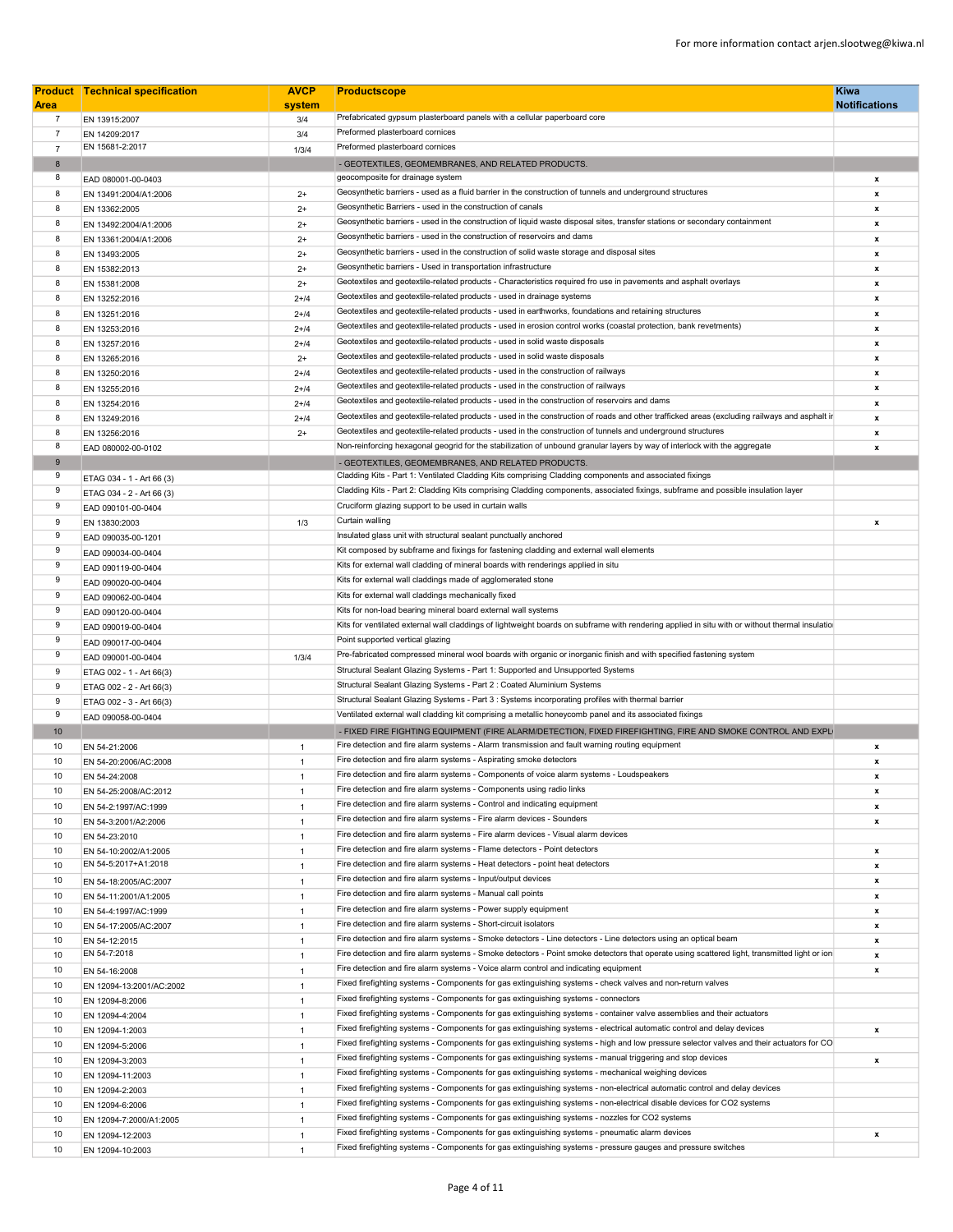| <b>Area</b>    | <b>Product</b> Technical specification | <b>AVCP</b><br>system | <b>Productscope</b>                                                                                                                            | <b>Kiwa</b><br><b>Notifications</b> |
|----------------|----------------------------------------|-----------------------|------------------------------------------------------------------------------------------------------------------------------------------------|-------------------------------------|
| $\overline{7}$ | EN 13915:2007                          | 3/4                   | Prefabricated gypsum plasterboard panels with a cellular paperboard core                                                                       |                                     |
| $\overline{7}$ | EN 14209:2017                          | 3/4                   | Preformed plasterboard cornices                                                                                                                |                                     |
| $\overline{7}$ | EN 15681-2:2017                        | 1/3/4                 | Preformed plasterboard cornices                                                                                                                |                                     |
| 8              |                                        |                       | - GEOTEXTILES, GEOMEMBRANES, AND RELATED PRODUCTS.                                                                                             |                                     |
| 8              | EAD 080001-00-0403                     |                       | geocomposite for drainage system                                                                                                               | x                                   |
| 8              | EN 13491:2004/A1:2006                  | $2+$                  | Geosynthetic barriers - used as a fluid barrier in the construction of tunnels and underground structures                                      | x                                   |
| 8              | EN 13362:2005                          | $2+$                  | Geosynthetic Barriers - used in the construction of canals                                                                                     | x                                   |
| 8              | EN 13492:2004/A1:2006                  | $2+$                  | Geosynthetic barriers - used in the construction of liquid waste disposal sites, transfer stations or secondary containment                    | x                                   |
| 8              | EN 13361:2004/A1:2006                  | $2+$                  | Geosynthetic barriers - used in the construction of reservoirs and dams                                                                        | x                                   |
| 8              | EN 13493:2005                          | $2+$                  | Geosynthetic barriers - used in the construction of solid waste storage and disposal sites                                                     | x                                   |
| 8              | EN 15382:2013                          | $2+$                  | Geosynthetic barriers - Used in transportation infrastructure                                                                                  | x                                   |
| 8              | EN 15381:2008                          | $2+$                  | Geotextiles and geotextile-related products - Characteristics required fro use in pavements and asphalt overlays                               | x                                   |
| 8              | EN 13252:2016                          | $2 + 14$              | Geotextiles and geotextile-related products - used in drainage systems                                                                         | x                                   |
| 8              | EN 13251:2016                          | $2 + 14$              | Geotextiles and geotextile-related products - used in earthworks, foundations and retaining structures                                         | x                                   |
| 8              | EN 13253:2016                          | $2 + 14$              | Geotextiles and geotextile-related products - used in erosion control works (coastal protection, bank revetments)                              | x                                   |
| 8              | EN 13257:2016                          | $2 + 14$              | Geotextiles and geotextile-related products - used in solid waste disposals                                                                    | x                                   |
| 8              | EN 13265:2016                          | $2+$                  | Geotextiles and geotextile-related products - used in solid waste disposals                                                                    | x                                   |
| 8              | EN 13250:2016                          | $2 + 14$              | Geotextiles and geotextile-related products - used in the construction of railways                                                             | x                                   |
| 8              | EN 13255:2016                          | $2 + 14$              | Geotextiles and geotextile-related products - used in the construction of railways                                                             | x                                   |
| 8              | EN 13254:2016                          | $2 + 14$              | Geotextiles and geotextile-related products - used in the construction of reservoirs and dams                                                  | x                                   |
| 8              | EN 13249:2016                          | $2 + 14$              | Geotextiles and geotextile-related products - used in the construction of roads and other trafficked areas (excluding railways and asphalt ir  | $\pmb{\mathsf{x}}$                  |
| 8              | EN 13256:2016                          | $2+$                  | Geotextiles and geotextile-related products - used in the construction of tunnels and underground structures                                   | x                                   |
| 8              | EAD 080002-00-0102                     |                       | Non-reinforcing hexagonal geogrid for the stabilization of unbound granular layers by way of interlock with the aggregate                      | $\pmb{\mathsf{x}}$                  |
| $9$            |                                        |                       | - GEOTEXTILES, GEOMEMBRANES, AND RELATED PRODUCTS.                                                                                             |                                     |
| 9              | ETAG 034 - 1 - Art 66 (3)              |                       | Cladding Kits - Part 1: Ventilated Cladding Kits comprising Cladding components and associated fixings                                         |                                     |
| 9              | ETAG 034 - 2 - Art 66 (3)              |                       | Cladding Kits - Part 2: Cladding Kits comprising Cladding components, associated fixings, subframe and possible insulation layer               |                                     |
| 9              | EAD 090101-00-0404                     |                       | Cruciform glazing support to be used in curtain walls                                                                                          |                                     |
| 9              | EN 13830:2003                          | 1/3                   | Curtain walling                                                                                                                                | x                                   |
| 9              | EAD 090035-00-1201                     |                       | Insulated glass unit with structural sealant punctually anchored                                                                               |                                     |
| 9              | EAD 090034-00-0404                     |                       | Kit composed by subframe and fixings for fastening cladding and external wall elements                                                         |                                     |
| 9              | EAD 090119-00-0404                     |                       | Kits for external wall cladding of mineral boards with renderings applied in situ                                                              |                                     |
| 9              | EAD 090020-00-0404                     |                       | Kits for external wall claddings made of agglomerated stone                                                                                    |                                     |
| 9              | EAD 090062-00-0404                     |                       | Kits for external wall claddings mechanically fixed                                                                                            |                                     |
| 9              | EAD 090120-00-0404                     |                       | Kits for non-load bearing mineral board external wall systems                                                                                  |                                     |
| 9              | EAD 090019-00-0404                     |                       | Kits for ventilated external wall claddings of lightweight boards on subframe with rendering applied in situ with or without thermal insulatio |                                     |
| 9              | EAD 090017-00-0404                     |                       | Point supported vertical glazing                                                                                                               |                                     |
| 9              | EAD 090001-00-0404                     | 1/3/4                 | Pre-fabricated compressed mineral wool boards with organic or inorganic finish and with specified fastening system                             |                                     |
| 9              | ETAG 002 - 1 - Art 66(3)               |                       | Structural Sealant Glazing Systems - Part 1: Supported and Unsupported Systems                                                                 |                                     |
| 9              | ETAG 002 - 2 - Art 66(3)               |                       | Structural Sealant Glazing Systems - Part 2 : Coated Aluminium Systems                                                                         |                                     |
| 9              | ETAG 002 - 3 - Art 66(3)               |                       | Structural Sealant Glazing Systems - Part 3 : Systems incorporating profiles with thermal barrier                                              |                                     |
| 9              | EAD 090058-00-0404                     |                       | Ventilated external wall cladding kit comprising a metallic honeycomb panel and its associated fixings                                         |                                     |
| 10             |                                        |                       | - FIXED FIRE FIGHTING EQUIPMENT (FIRE ALARM/DETECTION, FIXED FIREFIGHTING, FIRE AND SMOKE CONTROL AND EXPLI                                    |                                     |
| 10             | EN 54-21:2006                          | $\overline{1}$        | Fire detection and fire alarm systems - Alarm transmission and fault warning routing equipment                                                 | x                                   |
| 10             | EN 54-20:2006/AC:2008                  | $\overline{1}$        | Fire detection and fire alarm systems - Aspirating smoke detectors                                                                             | x                                   |
| 10             | EN 54-24:2008                          | $\mathbf{1}$          | Fire detection and fire alarm systems - Components of voice alarm systems - Loudspeakers                                                       | x                                   |
| 10             | EN 54-25:2008/AC:2012                  | $\overline{1}$        | Fire detection and fire alarm systems - Components using radio links                                                                           | x                                   |
| 10             | EN 54-2:1997/AC:1999                   | $\overline{1}$        | Fire detection and fire alarm systems - Control and indicating equipment                                                                       | x                                   |
| 10             | EN 54-3:2001/A2:2006                   | $\overline{1}$        | Fire detection and fire alarm systems - Fire alarm devices - Sounders                                                                          | x                                   |
| 10             | EN 54-23:2010                          | $\overline{1}$        | Fire detection and fire alarm systems - Fire alarm devices - Visual alarm devices                                                              |                                     |
| 10             | EN 54-10:2002/A1:2005                  | $\overline{1}$        | Fire detection and fire alarm systems - Flame detectors - Point detectors                                                                      | x                                   |
| 10             | EN 54-5:2017+A1:2018                   | $\overline{1}$        | Fire detection and fire alarm systems - Heat detectors - point heat detectors                                                                  | x                                   |
| 10             | EN 54-18:2005/AC:2007                  | $\overline{1}$        | Fire detection and fire alarm systems - Input/output devices                                                                                   | x                                   |
| 10             | EN 54-11:2001/A1:2005                  | $\overline{1}$        | Fire detection and fire alarm systems - Manual call points                                                                                     | x                                   |
| 10             | EN 54-4:1997/AC:1999                   | $\overline{1}$        | Fire detection and fire alarm systems - Power supply equipment                                                                                 | x                                   |
| 10             | EN 54-17:2005/AC:2007                  | $\overline{1}$        | Fire detection and fire alarm systems - Short-circuit isolators                                                                                | x                                   |
| 10             | EN 54-12:2015                          | $\overline{1}$        | Fire detection and fire alarm systems - Smoke detectors - Line detectors - Line detectors using an optical beam                                | x                                   |
| 10             | EN 54-7:2018                           | $\overline{1}$        | Fire detection and fire alarm systems - Smoke detectors - Point smoke detectors that operate using scattered light, transmitted light or ion   | x                                   |
| 10             | EN 54-16:2008                          | $\overline{1}$        | Fire detection and fire alarm systems - Voice alarm control and indicating equipment                                                           | x                                   |
| 10             | EN 12094-13:2001/AC:2002               | $\overline{1}$        | Fixed firefighting systems - Components for gas extinguishing systems - check valves and non-return valves                                     |                                     |
| 10             | EN 12094-8:2006                        | $\overline{1}$        | Fixed firefighting systems - Components for gas extinguishing systems - connectors                                                             |                                     |
| 10             | EN 12094-4:2004                        | $\overline{1}$        | Fixed firefighting systems - Components for gas extinguishing systems - container valve assemblies and their actuators                         |                                     |
| 10             | EN 12094-1:2003                        | $\overline{1}$        | Fixed firefighting systems - Components for gas extinguishing systems - electrical automatic control and delay devices                         | x                                   |
| 10             |                                        | $\overline{1}$        | Fixed firefighting systems - Components for gas extinguishing systems - high and low pressure selector valves and their actuators for CO       |                                     |
| 10             | EN 12094-5:2006                        | $\overline{1}$        | Fixed firefighting systems - Components for gas extinguishing systems - manual triggering and stop devices                                     | x                                   |
|                | EN 12094-3:2003                        |                       | Fixed firefighting systems - Components for gas extinguishing systems - mechanical weighing devices                                            |                                     |
| 10             | EN 12094-11:2003                       | $\overline{1}$        | Fixed firefighting systems - Components for gas extinguishing systems - non-electrical automatic control and delay devices                     |                                     |
| 10             | EN 12094-2:2003                        | $\overline{1}$        | Fixed firefighting systems - Components for gas extinguishing systems - non-electrical disable devices for CO2 systems                         |                                     |
| 10             | EN 12094-6:2006                        | $\overline{1}$        | Fixed firefighting systems - Components for gas extinguishing systems - nozzles for CO2 systems                                                |                                     |
| 10             | EN 12094-7:2000/A1:2005                | $\overline{1}$        | Fixed firefighting systems - Components for gas extinguishing systems - pneumatic alarm devices                                                |                                     |
| 10             | EN 12094-12:2003                       | $\overline{1}$        | Fixed firefighting systems - Components for gas extinguishing systems - pressure gauges and pressure switches                                  | x                                   |
| 10             | EN 12094-10:2003                       | $\overline{1}$        |                                                                                                                                                |                                     |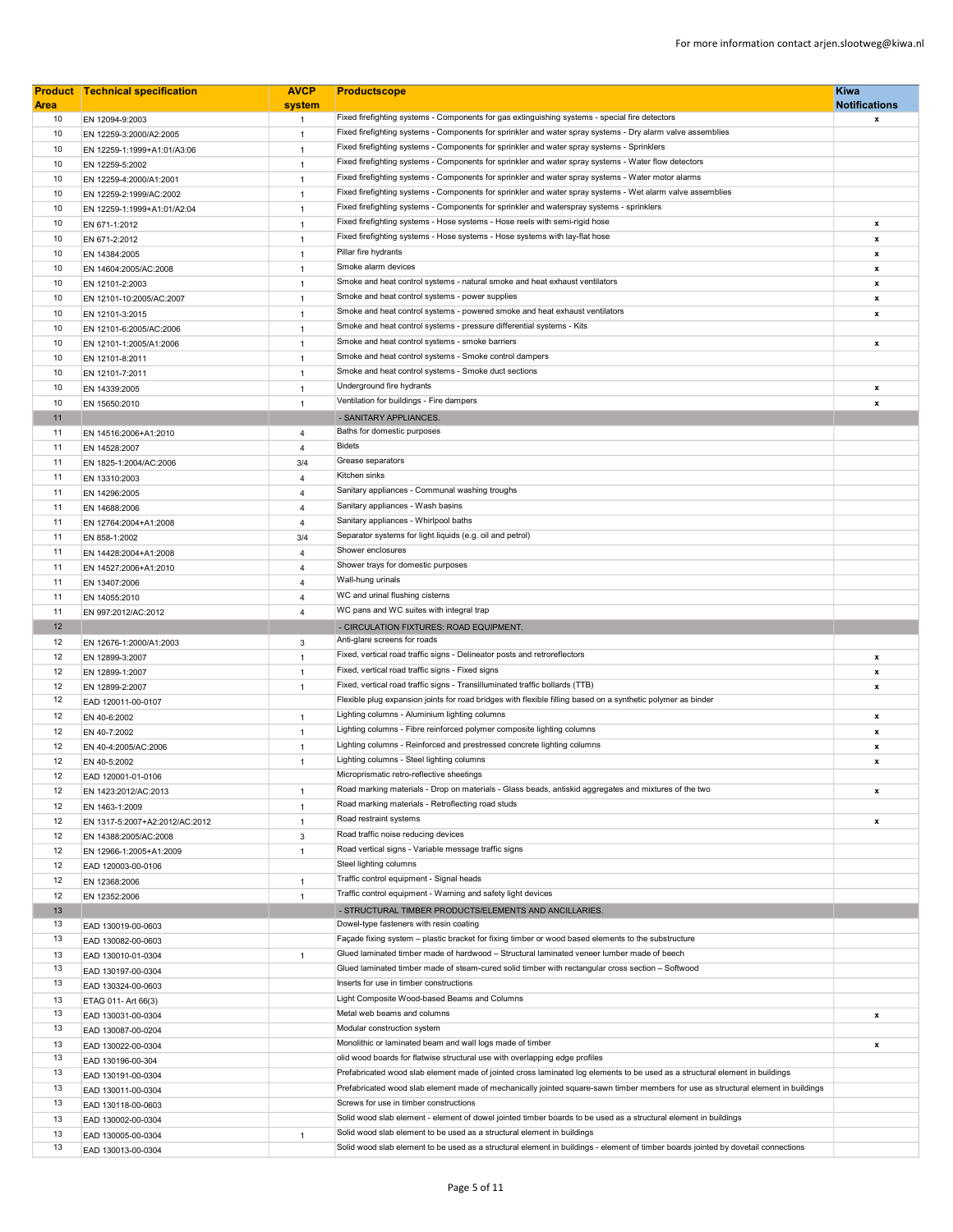| <b>Area</b> | <b>Product Technical specification</b>    | <b>AVCP</b><br>system | <b>Kiwa</b><br><b>Productscope</b><br><b>Notifications</b>                                                                         |        |
|-------------|-------------------------------------------|-----------------------|------------------------------------------------------------------------------------------------------------------------------------|--------|
| 10          | EN 12094-9:2003                           | $\mathbf{1}$          | Fixed firefighting systems - Components for gas extinguishing systems - special fire detectors                                     |        |
| 10          | EN 12259-3:2000/A2:2005                   | $\mathbf{1}$          | Fixed firefighting systems - Components for sprinkler and water spray systems - Dry alarm valve assemblies                         | x      |
| 10          | EN 12259-1:1999+A1:01/A3:06               | $\mathbf{1}$          | Fixed firefighting systems - Components for sprinkler and water spray systems - Sprinklers                                         |        |
| 10          | EN 12259-5:2002                           | $\mathbf{1}$          | Fixed firefighting systems - Components for sprinkler and water spray systems - Water flow detectors                               |        |
| 10          | EN 12259-4:2000/A1:2001                   | $\mathbf{1}$          | Fixed firefighting systems - Components for sprinkler and water spray systems - Water motor alarms                                 |        |
| 10          | EN 12259-2:1999/AC:2002                   | $\mathbf{1}$          | Fixed firefighting systems - Components for sprinkler and water spray systems - Wet alarm valve assemblies                         |        |
| 10          | EN 12259-1:1999+A1:01/A2:04               | $\mathbf{1}$          | Fixed firefighting systems - Components for sprinkler and waterspray systems - sprinklers                                          |        |
| 10          | EN 671-1:2012                             | $\mathbf{1}$          | Fixed firefighting systems - Hose systems - Hose reels with semi-rigid hose                                                        | x      |
| 10          | EN 671-2:2012                             | $\mathbf{1}$          | Fixed firefighting systems - Hose systems - Hose systems with lay-flat hose                                                        | x      |
| 10          | EN 14384:2005                             | $\mathbf{1}$          | Pillar fire hydrants                                                                                                               | x      |
| 10          | EN 14604:2005/AC:2008                     | $\mathbf{1}$          | Smoke alarm devices                                                                                                                | x      |
| 10          | EN 12101-2:2003                           | $\mathbf{1}$          | Smoke and heat control systems - natural smoke and heat exhaust ventilators                                                        | x      |
| 10          | EN 12101-10:2005/AC:2007                  | $\mathbf{1}$          | Smoke and heat control systems - power supplies                                                                                    | x      |
| 10          | EN 12101-3:2015                           | $\mathbf{1}$          | Smoke and heat control systems - powered smoke and heat exhaust ventilators                                                        | x      |
| 10          | EN 12101-6:2005/AC:2006                   | $\mathbf{1}$          | Smoke and heat control systems - pressure differential systems - Kits                                                              |        |
| 10          | EN 12101-1:2005/A1:2006                   | $\mathbf{1}$          | Smoke and heat control systems - smoke barriers                                                                                    | x      |
| 10          | EN 12101-8:2011                           | $\mathbf{1}$          | Smoke and heat control systems - Smoke control dampers<br>Smoke and heat control systems - Smoke duct sections                     |        |
| 10          | EN 12101-7:2011                           | $\mathbf{1}$          | Underground fire hydrants                                                                                                          |        |
| 10          | EN 14339:2005                             | $\mathbf{1}$          | Ventilation for buildings - Fire dampers                                                                                           | x      |
| 10<br>11    | EN 15650:2010                             | $\mathbf{1}$          | - SANITARY APPLIANCES.                                                                                                             | x      |
| 11          | EN 14516:2006+A1:2010                     | 4                     | Baths for domestic purposes                                                                                                        |        |
| 11          | EN 14528:2007                             | 4                     | <b>Bidets</b>                                                                                                                      |        |
| 11          | EN 1825-1:2004/AC:2006                    | 3/4                   | Grease separators                                                                                                                  |        |
| 11          | EN 13310:2003                             | 4                     | Kitchen sinks                                                                                                                      |        |
| 11          | EN 14296:2005                             | 4                     | Sanitary appliances - Communal washing troughs                                                                                     |        |
| 11          | EN 14688:2006                             | 4                     | Sanitary appliances - Wash basins                                                                                                  |        |
| 11          | EN 12764:2004+A1:2008                     | 4                     | Sanitary appliances - Whirlpool baths                                                                                              |        |
| 11          | EN 858-1:2002                             | 3/4                   | Separator systems for light liquids (e.g. oil and petrol)                                                                          |        |
| 11          | EN 14428:2004+A1:2008                     | 4                     | Shower enclosures                                                                                                                  |        |
| 11          | EN 14527:2006+A1:2010                     | 4                     | Shower trays for domestic purposes                                                                                                 |        |
| 11          | EN 13407:2006                             | 4                     | Wall-hung urinals                                                                                                                  |        |
| 11          | EN 14055:2010                             | 4                     | WC and urinal flushing cisterns                                                                                                    |        |
| 11          | EN 997:2012/AC:2012                       | 4                     | WC pans and WC suites with integral trap                                                                                           |        |
| 12          |                                           |                       | - CIRCULATION FIXTURES: ROAD EQUIPMENT.                                                                                            |        |
| 12          | EN 12676-1:2000/A1:2003                   | 3                     | Anti-glare screens for roads<br>Fixed, vertical road traffic signs - Delineator posts and retroreflectors                          |        |
| 12<br>12    | EN 12899-3:2007                           | $\mathbf{1}$          | Fixed, vertical road traffic signs - Fixed signs                                                                                   | x<br>x |
| 12          | EN 12899-1:2007                           | $\mathbf{1}$          | Fixed, vertical road traffic signs - Transilluminated traffic bollards (TTB)                                                       | x      |
| 12          | EN 12899-2:2007<br>EAD 120011-00-0107     | $\mathbf{1}$          | Flexible plug expansion joints for road bridges with flexible filling based on a synthetic polymer as binder                       |        |
| 12          | EN 40-6:2002                              | $\mathbf{1}$          | Lighting columns - Aluminium lighting columns                                                                                      | x      |
| 12          | EN 40-7:2002                              | $\mathbf{1}$          | Lighting columns - Fibre reinforced polymer composite lighting columns                                                             | x      |
| 12          | EN 40-4:2005/AC:2006                      | $\mathbf{1}$          | Lighting columns - Reinforced and prestressed concrete lighting columns                                                            | x      |
| 12          | EN 40-5:2002                              | $\mathbf{1}$          | Lighting columns - Steel lighting columns                                                                                          | x      |
| 12          | EAD 120001-01-0106                        |                       | Microprismatic retro-reflective sheetings                                                                                          |        |
| 12          | EN 1423:2012/AC:2013                      | $\mathbf{1}$          | Road marking materials - Drop on materials - Glass beads, antiskid aggregates and mixtures of the two                              | x      |
| 12          | EN 1463-1:2009                            | $\mathbf{1}$          | Road marking materials - Retroflecting road studs                                                                                  |        |
| 12          | EN 1317-5:2007+A2:2012/AC:2012            | $\mathbf{1}$          | Road restraint systems                                                                                                             | x      |
| 12          | EN 14388:2005/AC:2008                     | 3                     | Road traffic noise reducing devices                                                                                                |        |
| 12          | EN 12966-1:2005+A1:2009                   | $\mathbf{1}$          | Road vertical signs - Variable message traffic signs                                                                               |        |
| 12          | EAD 120003-00-0106                        |                       | Steel lighting columns                                                                                                             |        |
| 12          | EN 12368:2006                             | $\mathbf{1}$          | Traffic control equipment - Signal heads                                                                                           |        |
| 12          | EN 12352:2006                             | $\mathbf{1}$          | Traffic control equipment - Warning and safety light devices                                                                       |        |
| 13<br>13    |                                           |                       | - STRUCTURAL TIMBER PRODUCTS/ELEMENTS AND ANCILLARIES.<br>Dowel-type fasteners with resin coating                                  |        |
| 13          | EAD 130019-00-0603                        |                       | Façade fixing system - plastic bracket for fixing timber or wood based elements to the substructure                                |        |
|             | EAD 130082-00-0603                        |                       | Glued laminated timber made of hardwood - Structural laminated veneer lumber made of beech                                         |        |
| 13<br>13    | EAD 130010-01-0304                        | $\mathbf{1}$          | Glued laminated timber made of steam-cured solid timber with rectangular cross section - Softwood                                  |        |
| 13          | EAD 130197-00-0304                        |                       | Inserts for use in timber constructions                                                                                            |        |
| 13          | EAD 130324-00-0603<br>ETAG 011- Art 66(3) |                       | Light Composite Wood-based Beams and Columns                                                                                       |        |
| 13          | EAD 130031-00-0304                        |                       | Metal web beams and columns                                                                                                        | x      |
| 13          | EAD 130087-00-0204                        |                       | Modular construction system                                                                                                        |        |
| 13          | EAD 130022-00-0304                        |                       | Monolithic or laminated beam and wall logs made of timber                                                                          | x      |
| 13          | EAD 130196-00-304                         |                       | olid wood boards for flatwise structural use with overlapping edge profiles                                                        |        |
| 13          | EAD 130191-00-0304                        |                       | Prefabricated wood slab element made of jointed cross laminated log elements to be used as a structural element in buildings       |        |
| 13          | EAD 130011-00-0304                        |                       | Prefabricated wood slab element made of mechanically jointed square-sawn timber members for use as structural element in buildings |        |
| 13          | EAD 130118-00-0603                        |                       | Screws for use in timber constructions                                                                                             |        |
| 13          | EAD 130002-00-0304                        |                       | Solid wood slab element - element of dowel jointed timber boards to be used as a structural element in buildings                   |        |
| 13          | EAD 130005-00-0304                        | $\mathbf{1}$          | Solid wood slab element to be used as a structural element in buildings                                                            |        |
| 13          | EAD 130013-00-0304                        |                       | Solid wood slab element to be used as a structural element in buildings - element of timber boards jointed by dovetail connections |        |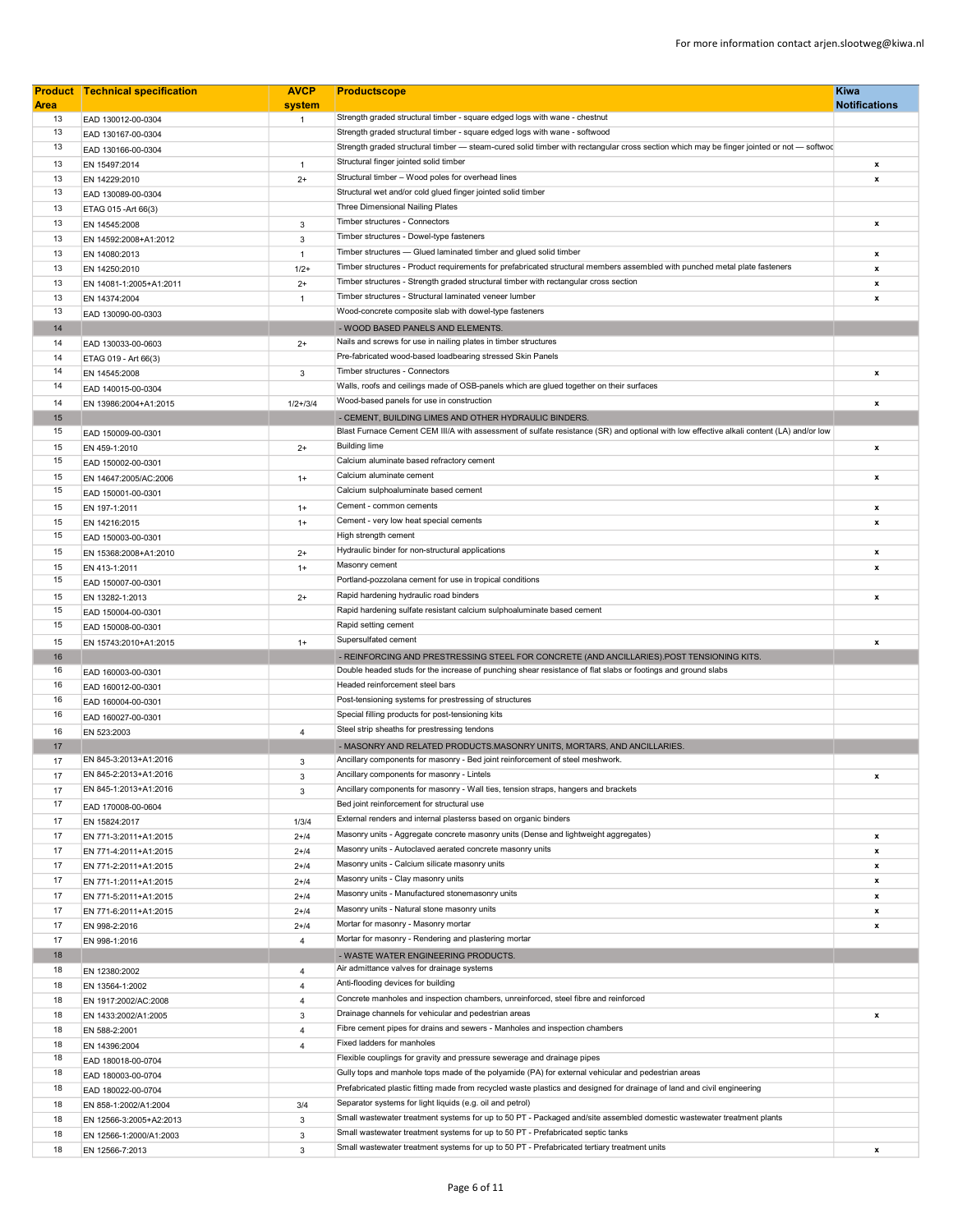|             | <b>Product Technical specification</b>         | <b>AVCP</b>          | <b>Productscope</b>                                                                                                                                                                | <b>Kiwa</b>          |
|-------------|------------------------------------------------|----------------------|------------------------------------------------------------------------------------------------------------------------------------------------------------------------------------|----------------------|
| <b>Area</b> |                                                | system               |                                                                                                                                                                                    | <b>Notifications</b> |
| 13          | EAD 130012-00-0304                             | $\mathbf{1}$         | Strength graded structural timber - square edged logs with wane - chestnut                                                                                                         |                      |
| 13          | EAD 130167-00-0304                             |                      | Strength graded structural timber - square edged logs with wane - softwood                                                                                                         |                      |
| 13          | EAD 130166-00-0304                             |                      | Strength graded structural timber - steam-cured solid timber with rectangular cross section which may be finger jointed or not - softwod<br>Structural finger jointed solid timber |                      |
| 13          | EN 15497:2014                                  | $\mathbf{1}$         | Structural timber - Wood poles for overhead lines                                                                                                                                  | x                    |
| 13<br>13    | EN 14229:2010                                  | $2+$                 | Structural wet and/or cold glued finger jointed solid timber                                                                                                                       | x                    |
| 13          | EAD 130089-00-0304                             |                      | Three Dimensional Nailing Plates                                                                                                                                                   |                      |
| 13          | ETAG 015 - Art 66(3)                           | 3                    | Timber structures - Connectors                                                                                                                                                     | x                    |
| 13          | EN 14545:2008<br>EN 14592:2008+A1:2012         | 3                    | Timber structures - Dowel-type fasteners                                                                                                                                           |                      |
| 13          | EN 14080:2013                                  | $\mathbf{1}$         | Timber structures - Glued laminated timber and glued solid timber                                                                                                                  | x                    |
| 13          | EN 14250:2010                                  | $1/2+$               | Timber structures - Product requirements for prefabricated structural members assembled with punched metal plate fasteners                                                         | $\pmb{\mathsf{x}}$   |
| 13          | EN 14081-1:2005+A1:2011                        | $2+$                 | Timber structures - Strength graded structural timber with rectangular cross section                                                                                               | x                    |
| 13          | EN 14374:2004                                  | $\mathbf{1}$         | Timber structures - Structural laminated veneer lumber                                                                                                                             | x                    |
| 13          | EAD 130090-00-0303                             |                      | Wood-concrete composite slab with dowel-type fasteners                                                                                                                             |                      |
| 14          |                                                |                      | - WOOD BASED PANELS AND ELEMENTS.                                                                                                                                                  |                      |
| 14          | EAD 130033-00-0603                             | $2+$                 | Nails and screws for use in nailing plates in timber structures                                                                                                                    |                      |
| 14          | ETAG 019 - Art 66(3)                           |                      | Pre-fabricated wood-based loadbearing stressed Skin Panels                                                                                                                         |                      |
| 14          | EN 14545:2008                                  | 3                    | Timber structures - Connectors                                                                                                                                                     | $\pmb{\mathsf{x}}$   |
| 14          | EAD 140015-00-0304                             |                      | Walls, roofs and ceilings made of OSB-panels which are glued together on their surfaces                                                                                            |                      |
| 14          | EN 13986:2004+A1:2015                          | $1/2 + 3/4$          | Wood-based panels for use in construction                                                                                                                                          | x                    |
| 15          |                                                |                      | - CEMENT, BUILDING LIMES AND OTHER HYDRAULIC BINDERS.                                                                                                                              |                      |
| 15          | EAD 150009-00-0301                             |                      | Blast Furnace Cement CEM III/A with assessment of sulfate resistance (SR) and optional with low effective alkali content (LA) and/or low                                           |                      |
| 15          | EN 459-1:2010                                  | $2+$                 | <b>Building lime</b>                                                                                                                                                               | $\pmb{\mathsf{x}}$   |
| 15          | EAD 150002-00-0301                             |                      | Calcium aluminate based refractory cement                                                                                                                                          |                      |
| 15          | EN 14647:2005/AC:2006                          | $1+$                 | Calcium aluminate cement                                                                                                                                                           | x                    |
| 15          | EAD 150001-00-0301                             |                      | Calcium sulphoaluminate based cement                                                                                                                                               |                      |
| 15          | EN 197-1:2011                                  | $1+$                 | Cement - common cements                                                                                                                                                            | x                    |
| 15          | EN 14216:2015                                  | $1+$                 | Cement - very low heat special cements                                                                                                                                             | x                    |
| 15          | EAD 150003-00-0301                             |                      | High strength cement                                                                                                                                                               |                      |
| 15          | EN 15368:2008+A1:2010                          | $2+$                 | Hydraulic binder for non-structural applications                                                                                                                                   | x                    |
| 15          | EN 413-1:2011                                  | $1+$                 | Masonry cement                                                                                                                                                                     | $\pmb{\mathsf{x}}$   |
| 15          | EAD 150007-00-0301                             |                      | Portland-pozzolana cement for use in tropical conditions                                                                                                                           |                      |
| 15          | EN 13282-1:2013                                | $2+$                 | Rapid hardening hydraulic road binders                                                                                                                                             | x                    |
| 15          | EAD 150004-00-0301                             |                      | Rapid hardening sulfate resistant calcium sulphoaluminate based cement                                                                                                             |                      |
| 15          | EAD 150008-00-0301                             |                      | Rapid setting cement                                                                                                                                                               |                      |
| 15          | EN 15743:2010+A1:2015                          | $1+$                 | Supersulfated cement                                                                                                                                                               | $\pmb{\mathsf{x}}$   |
| 16          |                                                |                      | - REINFORCING AND PRESTRESSING STEEL FOR CONCRETE (AND ANCILLARIES). POST TENSIONING KITS.                                                                                         |                      |
| 16          | EAD 160003-00-0301                             |                      | Double headed studs for the increase of punching shear resistance of flat slabs or footings and ground slabs                                                                       |                      |
| 16          | EAD 160012-00-0301                             |                      | Headed reinforcement steel bars                                                                                                                                                    |                      |
| 16          | EAD 160004-00-0301                             |                      | Post-tensioning systems for prestressing of structures                                                                                                                             |                      |
| 16          | EAD 160027-00-0301                             |                      | Special filling products for post-tensioning kits                                                                                                                                  |                      |
| 16          | EN 523:2003                                    | 4                    | Steel strip sheaths for prestressing tendons                                                                                                                                       |                      |
| 17          |                                                |                      | - MASONRY AND RELATED PRODUCTS.MASONRY UNITS, MORTARS, AND ANCILLARIES.<br>Ancillary components for masonry - Bed joint reinforcement of steel meshwork.                           |                      |
| 17          | EN 845-3:2013+A1:2016<br>EN 845-2:2013+A1:2016 | 3                    | Ancillary components for masonry - Lintels                                                                                                                                         |                      |
| 17          | EN 845-1:2013+A1:2016                          | 3                    | Ancillary components for masonry - Wall ties, tension straps, hangers and brackets                                                                                                 | x                    |
| 17<br>17    |                                                | 3                    | Bed joint reinforcement for structural use                                                                                                                                         |                      |
|             | EAD 170008-00-0604                             |                      | External renders and internal plasterss based on organic binders                                                                                                                   |                      |
| 17<br>17    | EN 15824:2017                                  | 1/3/4                | Masonry units - Aggregate concrete masonry units (Dense and lightweight aggregates)                                                                                                | x                    |
| 17          | EN 771-3:2011+A1:2015<br>EN 771-4:2011+A1:2015 | $2 + 14$<br>$2 + 14$ | Masonry units - Autoclaved aerated concrete masonry units                                                                                                                          | x                    |
| 17          | EN 771-2:2011+A1:2015                          | $2 + 14$             | Masonry units - Calcium silicate masonry units                                                                                                                                     | x                    |
| 17          | EN 771-1:2011+A1:2015                          | $2 + 14$             | Masonry units - Clay masonry units                                                                                                                                                 | x                    |
| 17          | EN 771-5:2011+A1:2015                          | $2 + 14$             | Masonry units - Manufactured stonemasonry units                                                                                                                                    | x                    |
| 17          | EN 771-6:2011+A1:2015                          | $2 + 14$             | Masonry units - Natural stone masonry units                                                                                                                                        | x                    |
| 17          | EN 998-2:2016                                  | $2 + 14$             | Mortar for masonry - Masonry mortar                                                                                                                                                | x                    |
| 17          | EN 998-1:2016                                  | 4                    | Mortar for masonry - Rendering and plastering mortar                                                                                                                               |                      |
| 18          |                                                |                      | - WASTE WATER ENGINEERING PRODUCTS.                                                                                                                                                |                      |
| 18          | EN 12380:2002                                  | 4                    | Air admittance valves for drainage systems                                                                                                                                         |                      |
| 18          | EN 13564-1:2002                                | 4                    | Anti-flooding devices for building                                                                                                                                                 |                      |
| 18          | EN 1917:2002/AC:2008                           | $\overline{4}$       | Concrete manholes and inspection chambers, unreinforced, steel fibre and reinforced                                                                                                |                      |
| 18          | EN 1433:2002/A1:2005                           | 3                    | Drainage channels for vehicular and pedestrian areas                                                                                                                               | x                    |
| 18          | EN 588-2:2001                                  | $\overline{4}$       | Fibre cement pipes for drains and sewers - Manholes and inspection chambers                                                                                                        |                      |
| 18          | EN 14396:2004                                  | 4                    | Fixed ladders for manholes                                                                                                                                                         |                      |
| 18          | EAD 180018-00-0704                             |                      | Flexible couplings for gravity and pressure sewerage and drainage pipes                                                                                                            |                      |
| 18          | EAD 180003-00-0704                             |                      | Gully tops and manhole tops made of the polyamide (PA) for external vehicular and pedestrian areas                                                                                 |                      |
| 18          | EAD 180022-00-0704                             |                      | Prefabricated plastic fitting made from recycled waste plastics and designed for drainage of land and civil engineering                                                            |                      |
| 18          | EN 858-1:2002/A1:2004                          | 3/4                  | Separator systems for light liquids (e.g. oil and petrol)                                                                                                                          |                      |
| 18          | EN 12566-3:2005+A2:2013                        | 3                    | Small wastewater treatment systems for up to 50 PT - Packaged and/site assembled domestic wastewater treatment plants                                                              |                      |
| 18          | EN 12566-1:2000/A1:2003                        | 3                    | Small wastewater treatment systems for up to 50 PT - Prefabricated septic tanks                                                                                                    |                      |
| 18          | EN 12566-7:2013                                | 3                    | Small wastewater treatment systems for up to 50 PT - Prefabricated tertiary treatment units                                                                                        | x                    |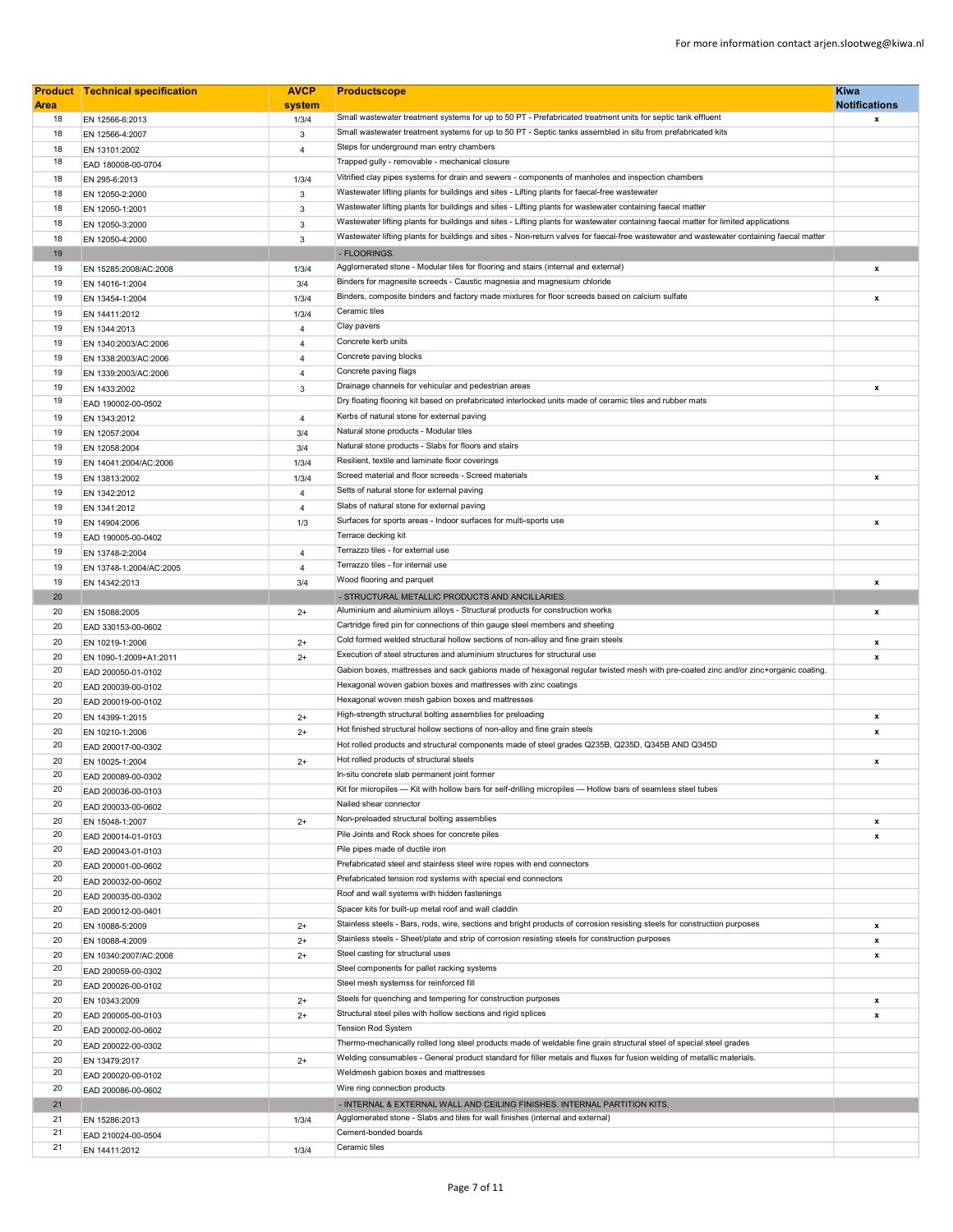|             | <b>Product Technical specification</b> | <b>AVCP</b>    | <b>Productscope</b>                                                                                                                      | <b>Kiwa</b>          |
|-------------|----------------------------------------|----------------|------------------------------------------------------------------------------------------------------------------------------------------|----------------------|
| <b>Area</b> |                                        | system         |                                                                                                                                          | <b>Notifications</b> |
| 18          | EN 12566-6:2013                        | 1/3/4          | Small wastewater treatment systems for up to 50 PT - Prefabricated treatment units for septic tank effluent                              | x                    |
| 18          | EN 12566-4:2007                        | 3              | Small wastewater treatment systems for up to 50 PT - Septic tanks assembled in situ from prefabricated kits                              |                      |
| 18          | EN 13101:2002                          | 4              | Steps for underground man entry chambers                                                                                                 |                      |
| 18          | EAD 180008-00-0704                     |                | Trapped gully - removable - mechanical closure                                                                                           |                      |
| 18          | EN 295-6:2013                          | 1/3/4          | Vitrified clay pipes systems for drain and sewers - components of manholes and inspection chambers                                       |                      |
| 18          | EN 12050-2:2000                        | $\mathbf{3}$   | Wastewater lifting plants for buildings and sites - Lifting plants for faecal-free wastewater                                            |                      |
| 18          | EN 12050-1:2001                        | 3              | Wastewater lifting plants for buildings and sites - Lifting plants for wastewater containing faecal matter                               |                      |
| 18          | EN 12050-3:2000                        | 3              | Wastewater lifting plants for buildings and sites - Lifting plants for wastewater containing faecal matter for limited applications      |                      |
| 18          | EN 12050-4:2000                        | 3              | Wastewater lifting plants for buildings and sites - Non-return valves for faecal-free wastewater and wastewater containing faecal matter |                      |
| 19          |                                        |                | - FLOORINGS.                                                                                                                             |                      |
| 19          | EN 15285:2008/AC:2008                  | 1/3/4          | Agglomerated stone - Modular tiles for flooring and stairs (internal and external)                                                       | x                    |
| 19          | EN 14016-1:2004                        | 3/4            | Binders for magnesite screeds - Caustic magnesia and magnesium chloride                                                                  |                      |
| 19          | EN 13454-1:2004                        | 1/3/4          | Binders, composite binders and factory made mixtures for floor screeds based on calcium sulfate                                          | $\pmb{\mathsf{x}}$   |
| 19          | EN 14411:2012                          | 1/3/4          | Ceramic tiles                                                                                                                            |                      |
| 19          | EN 1344:2013                           | 4              | Clay pavers                                                                                                                              |                      |
| 19          | EN 1340:2003/AC:2006                   | $\overline{4}$ | Concrete kerb units                                                                                                                      |                      |
| 19          | EN 1338:2003/AC:2006                   | $\overline{4}$ | Concrete paving blocks                                                                                                                   |                      |
| 19          | EN 1339:2003/AC:2006                   | $\overline{4}$ | Concrete paving flags                                                                                                                    |                      |
| 19          | EN 1433:2002                           | 3              | Drainage channels for vehicular and pedestrian areas                                                                                     | x                    |
| 19          | EAD 190002-00-0502                     |                | Dry floating flooring kit based on prefabricated interlocked units made of ceramic tiles and rubber mats                                 |                      |
| 19          | EN 1343:2012                           | $\overline{4}$ | Kerbs of natural stone for external paving                                                                                               |                      |
| 19          | EN 12057:2004                          | 3/4            | Natural stone products - Modular tiles                                                                                                   |                      |
| 19          | EN 12058:2004                          | 3/4            | Natural stone products - Slabs for floors and stairs                                                                                     |                      |
| 19          | EN 14041:2004/AC:2006                  | 1/3/4          | Resilient, textile and laminate floor coverings                                                                                          |                      |
| 19          | EN 13813:2002                          | 1/3/4          | Screed material and floor screeds - Screed materials                                                                                     | x                    |
| 19          | EN 1342:2012                           | $\overline{4}$ | Setts of natural stone for external paving                                                                                               |                      |
| 19          | EN 1341:2012                           | $\overline{4}$ | Slabs of natural stone for external paving                                                                                               |                      |
| 19          | EN 14904:2006                          | 1/3            | Surfaces for sports areas - Indoor surfaces for multi-sports use                                                                         | $\pmb{\mathsf{x}}$   |
| 19          | EAD 190005-00-0402                     |                | Terrace decking kit                                                                                                                      |                      |
| 19          | EN 13748-2:2004                        | 4              | Terrazzo tiles - for external use                                                                                                        |                      |
| 19          | EN 13748-1:2004/AC:2005                | $\overline{4}$ | Terrazzo tiles - for internal use                                                                                                        |                      |
| 19          | EN 14342:2013                          | 3/4            | Wood flooring and parquet                                                                                                                | x                    |
| 20          |                                        |                | - STRUCTURAL METALLIC PRODUCTS AND ANCILLARIES.                                                                                          |                      |
| 20          | EN 15088:2005                          | $2+$           | Aluminium and aluminium alloys - Structural products for construction works                                                              | x                    |
| 20          | EAD 330153-00-0602                     |                | Cartridge fired pin for connections of thin gauge steel members and sheeting                                                             |                      |
| 20          | EN 10219-1:2006                        | $2+$           | Cold formed welded structural hollow sections of non-alloy and fine grain steels                                                         | x                    |
| 20          | EN 1090-1:2009+A1:2011                 | $2+$           | Execution of steel structures and aluminium structures for structural use                                                                | x                    |
| 20          | EAD 200050-01-0102                     |                | Gabion boxes, mattresses and sack gabions made of hexagonal regular twisted mesh with pre-coated zinc and/or zinc+organic coating.       |                      |
| 20          | EAD 200039-00-0102                     |                | Hexagonal woven gabion boxes and mattresses with zinc coatings                                                                           |                      |
| 20          | EAD 200019-00-0102                     |                | Hexagonal woven mesh gabion boxes and mattresses                                                                                         |                      |
| 20          | EN 14399-1:2015                        | $2+$           | High-strength structural bolting assemblies for preloading                                                                               | x                    |
| 20          | EN 10210-1:2006                        | $2+$           | Hot finished structural hollow sections of non-alloy and fine grain steels                                                               | x                    |
| 20          | EAD 200017-00-0302                     |                | Hot rolled products and structural components made of steel grades Q235B, Q235D, Q345B AND Q345D                                         |                      |
| 20          |                                        | $2+$           | Hot rolled products of structural steels                                                                                                 | x                    |
| 20          | EN 10025-1:2004<br>EAD 200089-00-0302  |                | In-situ concrete slab permanent joint former                                                                                             |                      |
| 20          |                                        |                | Kit for micropiles - Kit with hollow bars for self-drilling micropiles - Hollow bars of seamless steel tubes                             |                      |
| 20          | EAD 200036-00-0103                     |                | Nailed shear connector                                                                                                                   |                      |
| 20          | EAD 200033-00-0602                     |                | Non-preloaded structural bolting assemblies                                                                                              | x                    |
| 20          | EN 15048-1:2007                        | $2+$           | Pile Joints and Rock shoes for concrete piles                                                                                            | x                    |
| 20          | EAD 200014-01-0103                     |                | Pile pipes made of ductile iron                                                                                                          |                      |
| 20          | EAD 200043-01-0103                     |                | Prefabricated steel and stainless steel wire ropes with end connectors                                                                   |                      |
| 20          | EAD 200001-00-0602                     |                | Prefabricated tension rod systems with special end connectors                                                                            |                      |
| 20          | EAD 200032-00-0602                     |                | Roof and wall systems with hidden fastenings                                                                                             |                      |
| 20          | EAD 200035-00-0302                     |                | Spacer kits for built-up metal roof and wall claddin                                                                                     |                      |
|             | EAD 200012-00-0401                     |                | Stainless steels - Bars, rods, wire, sections and bright products of corrosion resisting steels for construction purposes                |                      |
| 20          | EN 10088-5:2009                        | $2+$           |                                                                                                                                          | x                    |
| 20          | EN 10088-4:2009                        | $2+$           | Stainless steels - Sheet/plate and strip of corrosion resisting steels for construction purposes                                         | x                    |
| 20          | EN 10340:2007/AC:2008                  | $2+$           | Steel casting for structural uses                                                                                                        | x                    |
| 20          | EAD 200059-00-0302                     |                | Steel components for pallet racking systems                                                                                              |                      |
| 20          | EAD 200026-00-0102                     |                | Steel mesh systemss for reinforced fill                                                                                                  |                      |
| 20          | EN 10343:2009                          | $2+$           | Steels for quenching and tempering for construction purposes                                                                             | x                    |
| 20          | EAD 200005-00-0103                     | $2+$           | Structural steel piles with hollow sections and rigid splices                                                                            | x                    |
| 20          | EAD 200002-00-0602                     |                | <b>Tension Rod System</b>                                                                                                                |                      |
| 20          | EAD 200022-00-0302                     |                | Thermo-mechanically rolled long steel products made of weldable fine grain structural steel of special steel grades                      |                      |
| 20          | EN 13479:2017                          | $2+$           | Welding consumables - General product standard for filler metals and fluxes for fusion welding of metallic materials.                    |                      |
| 20          | EAD 200020-00-0102                     |                | Weldmesh gabion boxes and mattresses                                                                                                     |                      |
| 20          | EAD 200086-00-0602                     |                | Wire ring connection products                                                                                                            |                      |
| 21          |                                        |                | - INTERNAL & EXTERNAL WALL AND CEILING FINISHES. INTERNAL PARTITION KITS.                                                                |                      |
| 21          | EN 15286:2013                          | 1/3/4          | Agglomerated stone - Slabs and tiles for wall finishes (internal and external)                                                           |                      |
| 21          | EAD 210024-00-0504                     |                | Cement-bonded boards                                                                                                                     |                      |
| 21          | EN 14411:2012                          | 1/3/4          | Ceramic tiles                                                                                                                            |                      |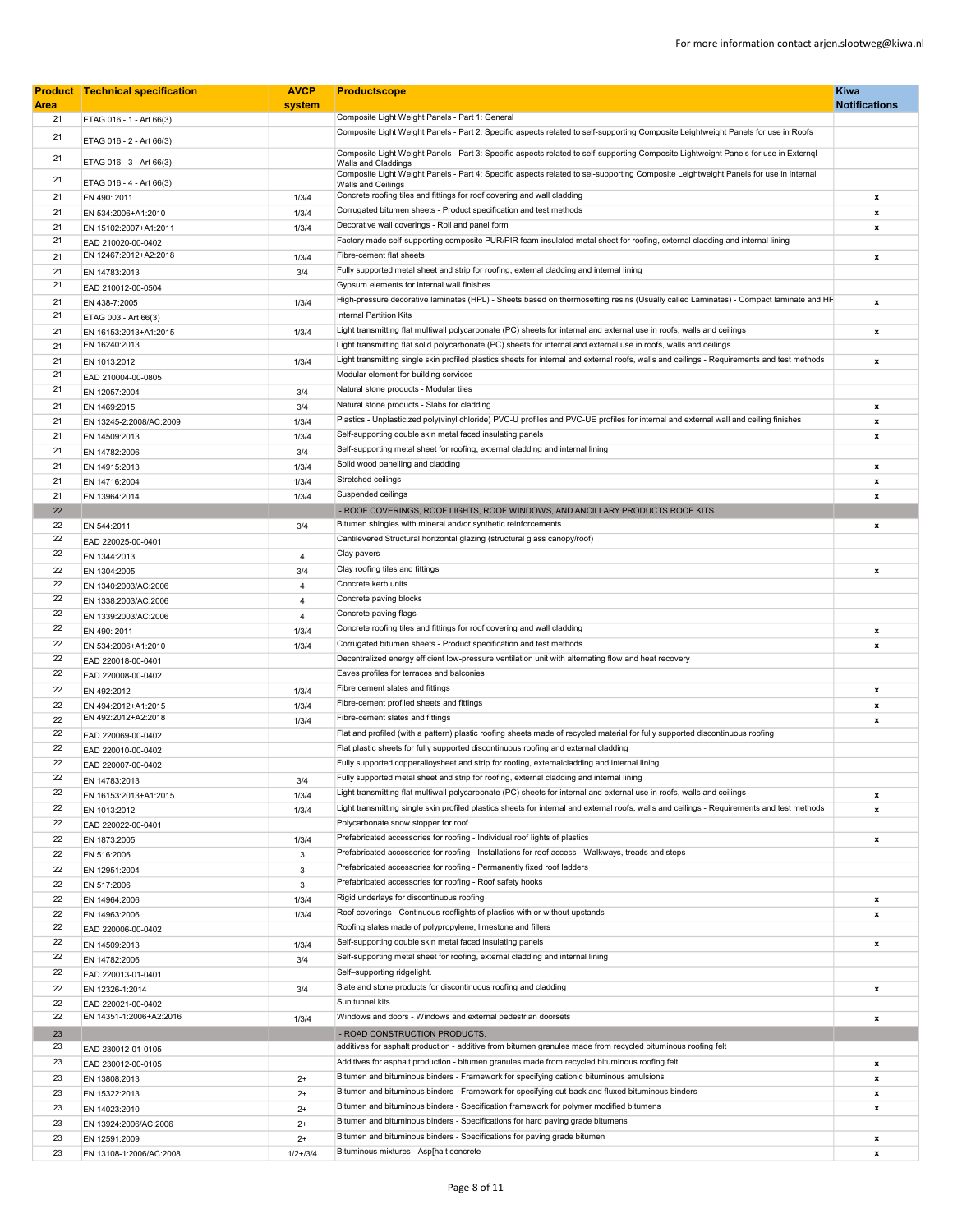|             | <b>Product Technical specification</b> | <b>AVCP</b>    | <b>Productscope</b>                                                                                                                                                | <b>Kiwa</b>               |
|-------------|----------------------------------------|----------------|--------------------------------------------------------------------------------------------------------------------------------------------------------------------|---------------------------|
| <b>Area</b> |                                        | system         |                                                                                                                                                                    | <b>Notifications</b>      |
| 21          | ETAG 016 - 1 - Art 66(3)               |                | Composite Light Weight Panels - Part 1: General                                                                                                                    |                           |
| 21          | ETAG 016 - 2 - Art 66(3)               |                | Composite Light Weight Panels - Part 2: Specific aspects related to self-supporting Composite Leightweight Panels for use in Roofs                                 |                           |
| 21          | ETAG 016 - 3 - Art 66(3)               |                | Composite Light Weight Panels - Part 3: Specific aspects related to self-supporting Composite Lightweight Panels for use in Externql                               |                           |
|             |                                        |                | <b>Walls and Claddings</b><br>Composite Light Weight Panels - Part 4: Specific aspects related to sel-supporting Composite Leightweight Panels for use in Internal |                           |
| 21          | ETAG 016 - 4 - Art 66(3)               |                | <b>Walls and Ceilings</b>                                                                                                                                          |                           |
| 21          | EN 490: 2011                           | 1/3/4          | Concrete roofing tiles and fittings for roof covering and wall cladding                                                                                            | $\mathbf x$               |
| 21          | EN 534:2006+A1:2010                    | 1/3/4          | Corrugated bitumen sheets - Product specification and test methods                                                                                                 | $\mathbf{x}$              |
| 21          | EN 15102:2007+A1:2011                  | 1/3/4          | Decorative wall coverings - Roll and panel form                                                                                                                    | x                         |
| 21          | EAD 210020-00-0402                     |                | Factory made self-supporting composite PUR/PIR foam insulated metal sheet for roofing, external cladding and internal lining                                       |                           |
| 21          | EN 12467:2012+A2:2018                  | 1/3/4          | Fibre-cement flat sheets                                                                                                                                           | $\mathbf{x}$              |
| 21          | EN 14783:2013                          | 3/4            | Fully supported metal sheet and strip for roofing, external cladding and internal lining                                                                           |                           |
| 21          | EAD 210012-00-0504                     |                | Gypsum elements for internal wall finishes                                                                                                                         |                           |
| 21          | EN 438-7:2005                          | 1/3/4          | High-pressure decorative laminates (HPL) - Sheets based on thermosetting resins (Usually called Laminates) - Compact laminate and HP                               | $\pmb{\mathsf{x}}$        |
| 21          | ETAG 003 - Art 66(3)                   |                | <b>Internal Partition Kits</b>                                                                                                                                     |                           |
| 21          | EN 16153:2013+A1:2015                  | 1/3/4          | Light transmitting flat multiwall polycarbonate (PC) sheets for internal and external use in roofs, walls and ceilings                                             | $\mathbf{x}$              |
| 21          | EN 16240:2013                          |                | Light transmitting flat solid polycarbonate (PC) sheets for internal and external use in roofs, walls and ceilings                                                 |                           |
| 21          | EN 1013:2012                           | 1/3/4          | Light transmitting single skin profiled plastics sheets for internal and external roofs, walls and ceilings - Requirements and test methods                        | x                         |
| 21          | EAD 210004-00-0805                     |                | Modular element for building services                                                                                                                              |                           |
| 21          | EN 12057:2004                          | 3/4            | Natural stone products - Modular tiles                                                                                                                             |                           |
| 21          | EN 1469:2015                           | 3/4            | Natural stone products - Slabs for cladding                                                                                                                        | $\mathbf{x}$              |
| 21          | EN 13245-2:2008/AC:2009                | 1/3/4          | Plastics - Unplasticized poly(vinyl chloride) PVC-U profiles and PVC-UE profiles for internal and external wall and ceiling finishes                               | $\mathbf{x}$              |
| 21          | EN 14509:2013                          | 1/3/4          | Self-supporting double skin metal faced insulating panels                                                                                                          | $\mathbf{x}$              |
| 21          | EN 14782:2006                          | 3/4            | Self-supporting metal sheet for roofing, external cladding and internal lining                                                                                     |                           |
| 21          | EN 14915:2013                          | 1/3/4          | Solid wood panelling and cladding                                                                                                                                  | $\boldsymbol{\mathsf{x}}$ |
| 21          | EN 14716:2004                          | 1/3/4          | Stretched ceilings                                                                                                                                                 | $\mathbf{x}$              |
| 21          | EN 13964:2014                          | 1/3/4          | Suspended ceilings                                                                                                                                                 | $\mathbf{x}$              |
| 22          |                                        |                | - ROOF COVERINGS, ROOF LIGHTS, ROOF WINDOWS, AND ANCILLARY PRODUCTS.ROOF KITS.                                                                                     |                           |
| 22          | EN 544:2011                            | 3/4            | Bitumen shingles with mineral and/or synthetic reinforcements                                                                                                      | $\mathbf{x}$              |
| 22          | EAD 220025-00-0401                     |                | Cantilevered Structural horizontal glazing (structural glass canopy/roof)                                                                                          |                           |
| 22          | EN 1344:2013                           | $\overline{4}$ | Clay pavers                                                                                                                                                        |                           |
| 22          | EN 1304:2005                           | 3/4            | Clay roofing tiles and fittings                                                                                                                                    | x                         |
| 22          | EN 1340:2003/AC:2006                   | $\overline{4}$ | Concrete kerb units                                                                                                                                                |                           |
| 22          | EN 1338:2003/AC:2006                   | $\overline{4}$ | Concrete paving blocks                                                                                                                                             |                           |
| 22          | EN 1339:2003/AC:2006                   | $\overline{4}$ | Concrete paving flags                                                                                                                                              |                           |
| 22          | EN 490: 2011                           | 1/3/4          | Concrete roofing tiles and fittings for roof covering and wall cladding                                                                                            | $\boldsymbol{x}$          |
| 22          | EN 534:2006+A1:2010                    | 1/3/4          | Corrugated bitumen sheets - Product specification and test methods                                                                                                 | $\mathbf{x}$              |
| 22          | EAD 220018-00-0401                     |                | Decentralized energy efficient low-pressure ventilation unit with alternating flow and heat recovery                                                               |                           |
| 22          | EAD 220008-00-0402                     |                | Eaves profiles for terraces and balconies                                                                                                                          |                           |
| 22          | EN 492:2012                            | 1/3/4          | Fibre cement slates and fittings                                                                                                                                   | $\boldsymbol{\mathsf{x}}$ |
| 22          | EN 494:2012+A1:2015                    | 1/3/4          | Fibre-cement profiled sheets and fittings                                                                                                                          | $\pmb{\mathsf{x}}$        |
| 22          | EN 492:2012+A2:2018                    | 1/3/4          | Fibre-cement slates and fittings                                                                                                                                   | $\mathbf{x}$              |
| 22          | EAD 220069-00-0402                     |                | Flat and profiled (with a pattern) plastic roofing sheets made of recycled material for fully supported discontinuous roofing                                      |                           |
| 22          | EAD 220010-00-0402                     |                | Flat plastic sheets for fully supported discontinuous roofing and external cladding                                                                                |                           |
| 22          | EAD 220007-00-0402                     |                | Fully supported copperalloysheet and strip for roofing, externalcladding and internal lining                                                                       |                           |
| 22          | EN 14783:2013                          | 3/4            | Fully supported metal sheet and strip for roofing, external cladding and internal lining                                                                           |                           |
| 22          | EN 16153:2013+A1:2015                  | 1/3/4          | Light transmitting flat multiwall polycarbonate (PC) sheets for internal and external use in roofs, walls and ceilings                                             | $\mathbf x$               |
| 22          | EN 1013:2012                           | 1/3/4          | Light transmitting single skin profiled plastics sheets for internal and external roofs, walls and ceilings - Requirements and test methods                        | $\mathbf{x}$              |
| 22          | EAD 220022-00-0401                     |                | Polycarbonate snow stopper for roof                                                                                                                                |                           |
| 22          | EN 1873:2005                           | 1/3/4          | Prefabricated accessories for roofing - Individual roof lights of plastics                                                                                         | x                         |
| 22          | EN 516:2006                            | 3              | Prefabricated accessories for roofing - Installations for roof access - Walkways, treads and steps                                                                 |                           |
| 22          | EN 12951:2004                          | 3              | Prefabricated accessories for roofing - Permanently fixed roof ladders                                                                                             |                           |
| 22          | EN 517:2006                            | $\mathbf{3}$   | Prefabricated accessories for roofing - Roof safety hooks                                                                                                          |                           |
| 22          | EN 14964:2006                          | 1/3/4          | Rigid underlays for discontinuous roofing                                                                                                                          | $\pmb{\mathsf{x}}$        |
| 22          | EN 14963:2006                          | 1/3/4          | Roof coverings - Continuous rooflights of plastics with or without upstands                                                                                        | $\boldsymbol{\mathsf{x}}$ |
| 22          | EAD 220006-00-0402                     |                | Roofing slates made of polypropylene, limestone and fillers                                                                                                        |                           |
| 22          | EN 14509:2013                          | 1/3/4          | Self-supporting double skin metal faced insulating panels                                                                                                          | $\mathbf{x}$              |
| 22          | EN 14782:2006                          | 3/4            | Self-supporting metal sheet for roofing, external cladding and internal lining                                                                                     |                           |
| 22          | EAD 220013-01-0401                     |                | Self-supporting ridgelight.                                                                                                                                        |                           |
| 22          | EN 12326-1:2014                        | 3/4            | Slate and stone products for discontinuous roofing and cladding                                                                                                    | $\mathbf{x}$              |
| 22          | EAD 220021-00-0402                     |                | Sun tunnel kits                                                                                                                                                    |                           |
| 22          | EN 14351-1:2006+A2:2016                | 1/3/4          | Windows and doors - Windows and external pedestrian doorsets                                                                                                       | $\mathbf{x}$              |
| 23          |                                        |                | - ROAD CONSTRUCTION PRODUCTS.                                                                                                                                      |                           |
| 23          | EAD 230012-01-0105                     |                | additives for asphalt production - additive from bitumen granules made from recycled bituminous roofing felt                                                       |                           |
| 23          | EAD 230012-00-0105                     |                | Additives for asphalt production - bitumen granules made from recycled bituminous roofing felt                                                                     | $\boldsymbol{\mathsf{x}}$ |
| 23          | EN 13808:2013                          | $2+$           | Bitumen and bituminous binders - Framework for specifying cationic bituminous emulsions                                                                            | $\mathbf{x}$              |
| 23          | EN 15322:2013                          | $2+$           | Bitumen and bituminous binders - Framework for specifying cut-back and fluxed bituminous binders                                                                   | $\mathbf x$               |
| 23          | EN 14023:2010                          | $2+$           | Bitumen and bituminous binders - Specification framework for polymer modified bitumens                                                                             | $\pmb{\mathsf{x}}$        |
| 23          | EN 13924:2006/AC:2006                  | $2+$           | Bitumen and bituminous binders - Specifications for hard paving grade bitumens                                                                                     |                           |
| 23          | EN 12591:2009                          | $2+$           | Bitumen and bituminous binders - Specifications for paving grade bitumen                                                                                           | x                         |
| 23          | EN 13108-1:2006/AC:2008                | $1/2 + 3/4$    | Bituminous mixtures - Asp[halt concrete                                                                                                                            | $\mathbf{x}$              |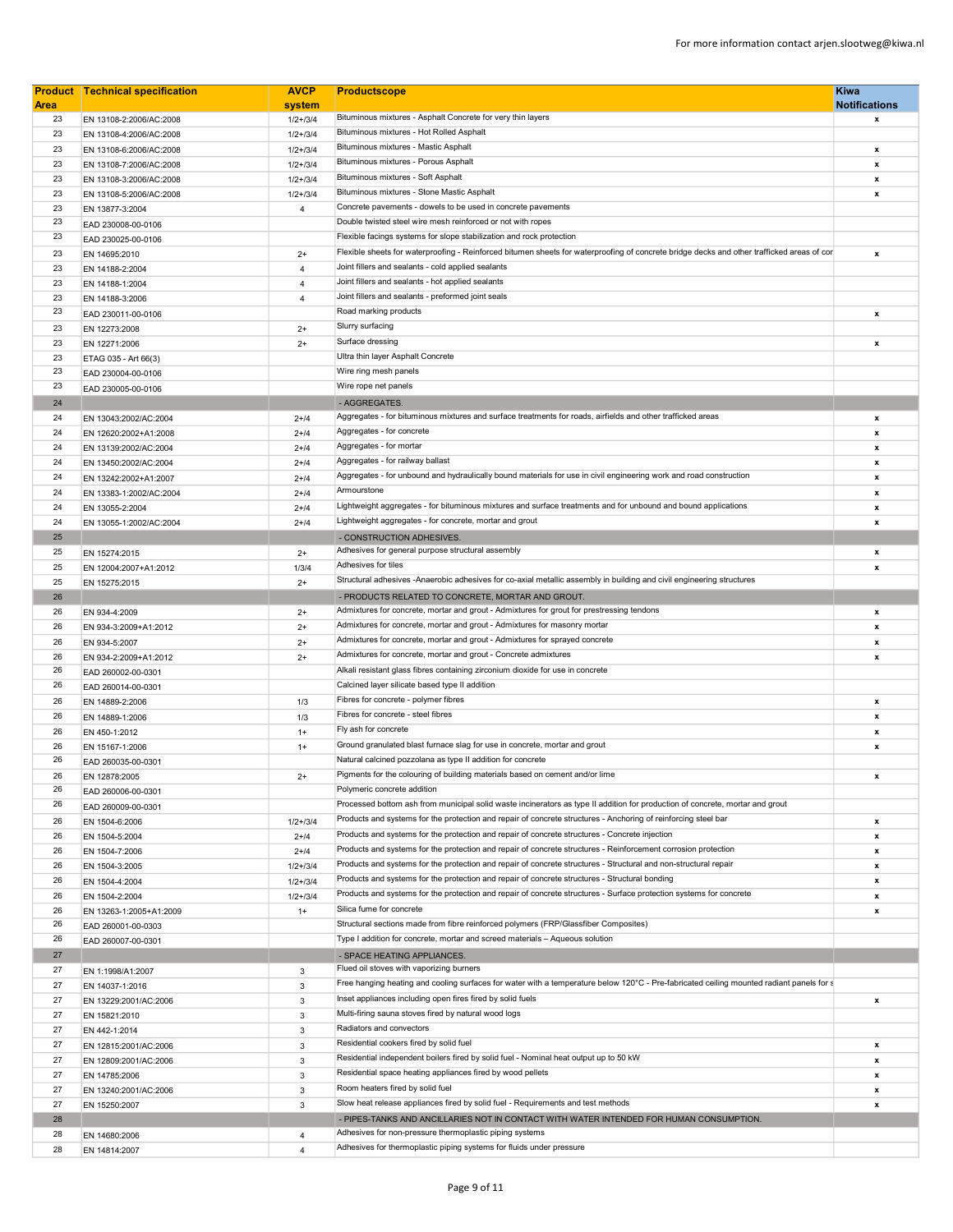|             | <b>Product Technical specification</b> | <b>AVCP</b>    | <b>Productscope</b>                                                                                                                        | <b>Kiwa</b>          |
|-------------|----------------------------------------|----------------|--------------------------------------------------------------------------------------------------------------------------------------------|----------------------|
| <b>Area</b> |                                        | system         |                                                                                                                                            | <b>Notifications</b> |
| 23          | EN 13108-2:2006/AC:2008                | $1/2 + 3/4$    | Bituminous mixtures - Asphalt Concrete for very thin layers                                                                                | x                    |
| 23          | EN 13108-4:2006/AC:2008                | $1/2 + 3/4$    | Bituminous mixtures - Hot Rolled Asphalt                                                                                                   |                      |
| 23          | EN 13108-6:2006/AC:2008                | $1/2 + 3/4$    | Bituminous mixtures - Mastic Asphalt                                                                                                       | x                    |
| 23          | EN 13108-7:2006/AC:2008                | $1/2 + 3/4$    | Bituminous mixtures - Porous Asphalt                                                                                                       | $\pmb{\mathsf{x}}$   |
| 23          | EN 13108-3:2006/AC:2008                | $1/2 + 3/4$    | Bituminous mixtures - Soft Asphalt                                                                                                         | x                    |
| 23          | EN 13108-5:2006/AC:2008                | $1/2 + 3/4$    | Bituminous mixtures - Stone Mastic Asphalt                                                                                                 | x                    |
| 23          | EN 13877-3:2004                        | 4              | Concrete pavements - dowels to be used in concrete pavements                                                                               |                      |
| 23          | EAD 230008-00-0106                     |                | Double twisted steel wire mesh reinforced or not with ropes                                                                                |                      |
| 23          | EAD 230025-00-0106                     |                | Flexible facings systems for slope stabilization and rock protection                                                                       |                      |
| 23          | EN 14695:2010                          | $2+$           | Flexible sheets for waterproofing - Reinforced bitumen sheets for waterproofing of concrete bridge decks and other trafficked areas of cor | x                    |
| 23          | EN 14188-2:2004                        | $\overline{4}$ | Joint fillers and sealants - cold applied sealants                                                                                         |                      |
| 23          | EN 14188-1:2004                        | 4              | Joint fillers and sealants - hot applied sealants                                                                                          |                      |
| 23          |                                        |                | Joint fillers and sealants - preformed joint seals                                                                                         |                      |
| 23          | EN 14188-3:2006                        | 4              | Road marking products                                                                                                                      |                      |
|             | EAD 230011-00-0106                     |                |                                                                                                                                            | x                    |
| 23          | EN 12273:2008                          | $2+$           | Slurry surfacing                                                                                                                           |                      |
| 23          | EN 12271:2006                          | $2+$           | Surface dressing                                                                                                                           | x                    |
| 23          | ETAG 035 - Art 66(3)                   |                | Ultra thin layer Asphalt Concrete                                                                                                          |                      |
| 23          | EAD 230004-00-0106                     |                | Wire ring mesh panels                                                                                                                      |                      |
| 23          | EAD 230005-00-0106                     |                | Wire rope net panels                                                                                                                       |                      |
| 24          |                                        |                | - AGGREGATES.                                                                                                                              |                      |
| 24          | EN 13043:2002/AC:2004                  | $2 + 14$       | Aggregates - for bituminous mixtures and surface treatments for roads, airfields and other trafficked areas                                | x                    |
| 24          | EN 12620:2002+A1:2008                  | $2 + 14$       | Aggregates - for concrete                                                                                                                  | $\pmb{\mathsf{x}}$   |
| 24          | EN 13139:2002/AC:2004                  | $2 + 14$       | Aggregates - for mortar                                                                                                                    | x                    |
| 24          | EN 13450:2002/AC:2004                  | $2 + 14$       | Aggregates - for railway ballast                                                                                                           | x                    |
| 24          | EN 13242:2002+A1:2007                  | $2 + 14$       | Aggregates - for unbound and hydraulically bound materials for use in civil engineering work and road construction                         | x                    |
|             |                                        |                | Armourstone                                                                                                                                |                      |
| 24          | EN 13383-1:2002/AC:2004                | $2 + 14$       |                                                                                                                                            | x                    |
| 24          | EN 13055-2:2004                        | $2 + 14$       | Lightweight aggregates - for bituminous mixtures and surface treatments and for unbound and bound applications                             | x                    |
| 24          | EN 13055-1:2002/AC:2004                | $2 + 14$       | Lightweight aggregates - for concrete, mortar and grout                                                                                    | x                    |
| 25          |                                        |                | - CONSTRUCTION ADHESIVES.                                                                                                                  |                      |
| 25          | EN 15274:2015                          | $2+$           | Adhesives for general purpose structural assembly                                                                                          | x                    |
| 25          | EN 12004:2007+A1:2012                  | 1/3/4          | Adhesives for tiles                                                                                                                        | x                    |
| 25          | EN 15275:2015                          | $2+$           | Structural adhesives -Anaerobic adhesives for co-axial metallic assembly in building and civil engineering structures                      |                      |
| 26          |                                        |                | - PRODUCTS RELATED TO CONCRETE, MORTAR AND GROUT.                                                                                          |                      |
| 26          | EN 934-4:2009                          | $2+$           | Admixtures for concrete, mortar and grout - Admixtures for grout for prestressing tendons                                                  | x                    |
| 26          | EN 934-3:2009+A1:2012                  | $2+$           | Admixtures for concrete, mortar and grout - Admixtures for masonry mortar                                                                  | x                    |
| 26          | EN 934-5:2007                          | $2+$           | Admixtures for concrete, mortar and grout - Admixtures for sprayed concrete                                                                | x                    |
| 26          | EN 934-2:2009+A1:2012                  | $2+$           | Admixtures for concrete, mortar and grout - Concrete admixtures                                                                            | x                    |
| 26          | EAD 260002-00-0301                     |                | Alkali resistant glass fibres containing zirconium dioxide for use in concrete                                                             |                      |
| 26          |                                        |                | Calcined layer silicate based type II addition                                                                                             |                      |
| 26          | EAD 260014-00-0301                     |                | Fibres for concrete - polymer fibres                                                                                                       |                      |
|             | EN 14889-2:2006                        | 1/3            | Fibres for concrete - steel fibres                                                                                                         | x                    |
| 26          | EN 14889-1:2006                        | 1/3            |                                                                                                                                            | x                    |
| 26          | EN 450-1:2012                          | $1+$           | Fly ash for concrete                                                                                                                       | x                    |
| 26          | EN 15167-1:2006                        | $1+$           | Ground granulated blast furnace slag for use in concrete, mortar and grout                                                                 | x                    |
| 26          | EAD 260035-00-0301                     |                | Natural calcined pozzolana as type II addition for concrete                                                                                |                      |
| 26          | EN 12878:2005                          | $2+$           | Pigments for the colouring of building materials based on cement and/or lime                                                               | x                    |
| 26          | EAD 260006-00-0301                     |                | Polymeric concrete addition                                                                                                                |                      |
| 26          | EAD 260009-00-0301                     |                | Processed bottom ash from municipal solid waste incinerators as type II addition for production of concrete, mortar and grout              |                      |
| 26          | EN 1504-6:2006                         | $1/2 + 3/4$    | Products and systems for the protection and repair of concrete structures - Anchoring of reinforcing steel bar                             | x                    |
| 26          | EN 1504-5:2004                         | $2 + 14$       | Products and systems for the protection and repair of concrete structures - Concrete injection                                             | x                    |
| 26          | EN 1504-7:2006                         | $2 + 14$       | Products and systems for the protection and repair of concrete structures - Reinforcement corrosion protection                             | x                    |
| 26          | EN 1504-3:2005                         | $1/2 + 3/4$    | Products and systems for the protection and repair of concrete structures - Structural and non-structural repair                           | x                    |
| 26          | EN 1504-4:2004                         | $1/2 + 3/4$    | Products and systems for the protection and repair of concrete structures - Structural bonding                                             | x                    |
| 26          |                                        | $1/2 + 3/4$    | Products and systems for the protection and repair of concrete structures - Surface protection systems for concrete                        | x                    |
|             | EN 1504-2:2004                         |                | Silica fume for concrete                                                                                                                   |                      |
| 26<br>26    | EN 13263-1:2005+A1:2009                | $1+$           | Structural sections made from fibre reinforced polymers (FRP/Glassfiber Composites)                                                        | x                    |
|             | EAD 260001-00-0303                     |                |                                                                                                                                            |                      |
| 26          | EAD 260007-00-0301                     |                | Type I addition for concrete, mortar and screed materials - Aqueous solution                                                               |                      |
| 27          |                                        |                | - SPACE HEATING APPLIANCES.                                                                                                                |                      |
| 27          | EN 1:1998/A1:2007                      | 3              | Flued oil stoves with vaporizing burners                                                                                                   |                      |
| 27          | EN 14037-1:2016                        | 3              | Free hanging heating and cooling surfaces for water with a temperature below 120°C - Pre-fabricated ceiling mounted radiant panels for s   |                      |
| 27          | EN 13229:2001/AC:2006                  | 3              | Inset appliances including open fires fired by solid fuels                                                                                 | x                    |
| 27          | EN 15821:2010                          | 3              | Multi-firing sauna stoves fired by natural wood logs                                                                                       |                      |
| 27          | EN 442-1:2014                          | 3              | Radiators and convectors                                                                                                                   |                      |
| 27          | EN 12815:2001/AC:2006                  | 3              | Residential cookers fired by solid fuel                                                                                                    | x                    |
| 27          | EN 12809:2001/AC:2006                  | 3              | Residential independent boilers fired by solid fuel - Nominal heat output up to 50 kW                                                      | x                    |
| 27          | EN 14785:2006                          | 3              | Residential space heating appliances fired by wood pellets                                                                                 | x                    |
| 27          |                                        | 3              | Room heaters fired by solid fuel                                                                                                           | x                    |
|             | EN 13240:2001/AC:2006                  |                | Slow heat release appliances fired by solid fuel - Requirements and test methods                                                           |                      |
| 27          | EN 15250:2007                          | 3              |                                                                                                                                            | x                    |
| 28          |                                        |                | - PIPES-TANKS AND ANCILLARIES NOT IN CONTACT WITH WATER INTENDED FOR HUMAN CONSUMPTION.                                                    |                      |
| 28          | EN 14680:2006                          | 4              | Adhesives for non-pressure thermoplastic piping systems                                                                                    |                      |
| 28          | EN 14814:2007                          | $\overline{4}$ | Adhesives for thermoplastic piping systems for fluids under pressure                                                                       |                      |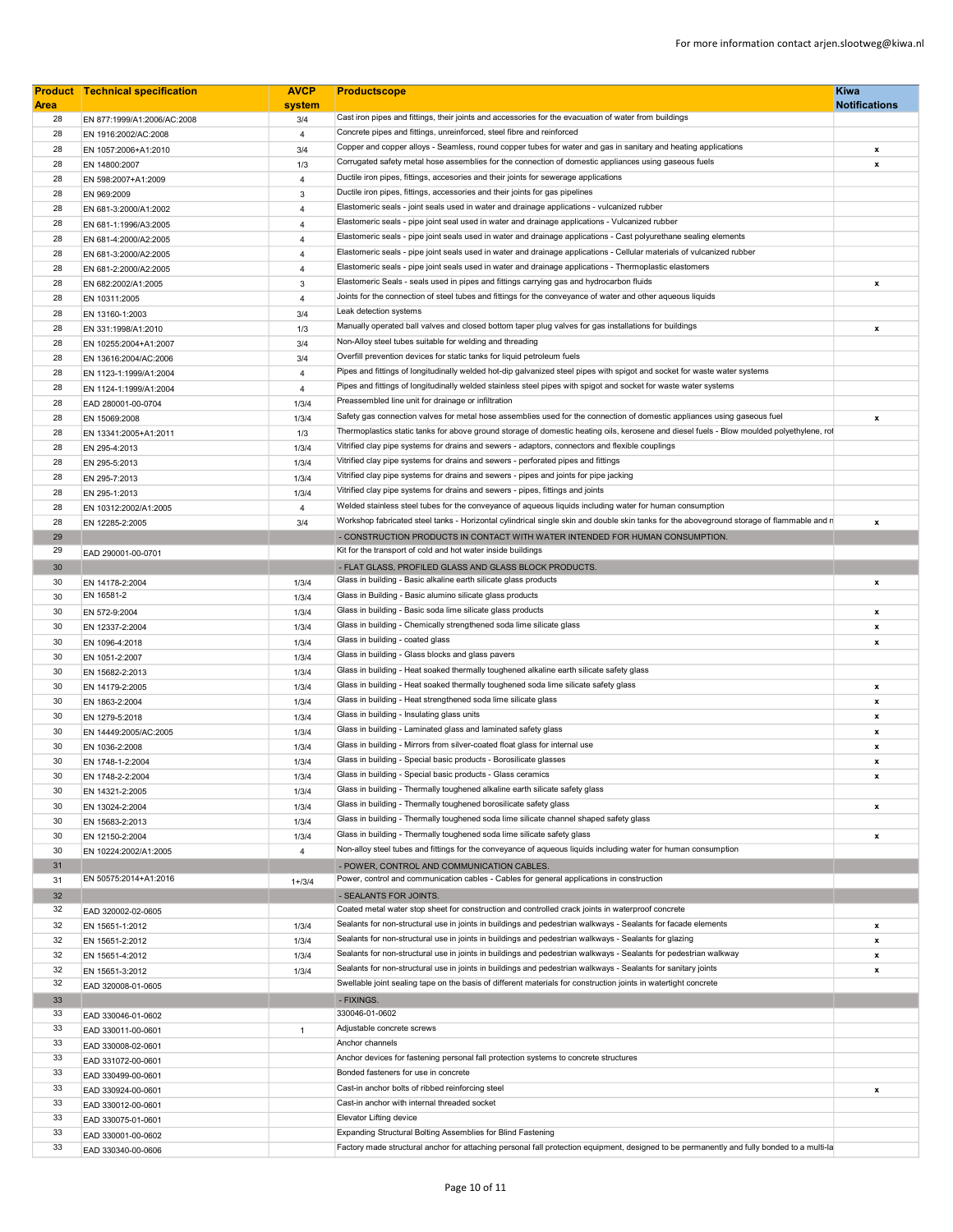|             | <b>Product Technical specification</b>         | <b>AVCP</b>         | <b>Productscope</b>                                                                                                                                                             | <b>Kiwa</b>               |
|-------------|------------------------------------------------|---------------------|---------------------------------------------------------------------------------------------------------------------------------------------------------------------------------|---------------------------|
| <b>Area</b> |                                                | system              |                                                                                                                                                                                 | <b>Notifications</b>      |
| 28          | EN 877:1999/A1:2006/AC:2008                    | 3/4                 | Cast iron pipes and fittings, their joints and accessories for the evacuation of water from buildings<br>Concrete pipes and fittings, unreinforced, steel fibre and reinforced  |                           |
| 28          | EN 1916:2002/AC:2008                           | $\overline{4}$      | Copper and copper alloys - Seamless, round copper tubes for water and gas in sanitary and heating applications                                                                  |                           |
| 28          | EN 1057:2006+A1:2010                           | 3/4                 | Corrugated safety metal hose assemblies for the connection of domestic appliances using gaseous fuels                                                                           | $\mathbf{x}$              |
| 28          | EN 14800:2007                                  | 1/3                 | Ductile iron pipes, fittings, accesories and their joints for sewerage applications                                                                                             | $\mathbf{x}$              |
| 28          | EN 598:2007+A1:2009                            | $\overline{4}$      | Ductile iron pipes, fittings, accessories and their joints for gas pipelines                                                                                                    |                           |
| 28          | EN 969:2009                                    | $\mathbf{3}$        | Elastomeric seals - joint seals used in water and drainage applications - vulcanized rubber                                                                                     |                           |
| 28<br>28    | EN 681-3:2000/A1:2002                          | 4<br>$\overline{4}$ | Elastomeric seals - pipe joint seal used in water and drainage applications - Vulcanized rubber                                                                                 |                           |
| 28          | EN 681-1:1996/A3:2005                          | $\overline{4}$      | Elastomeric seals - pipe joint seals used in water and drainage applications - Cast polyurethane sealing elements                                                               |                           |
| 28          | EN 681-4:2000/A2:2005<br>EN 681-3:2000/A2:2005 | $\overline{4}$      | Elastomeric seals - pipe joint seals used in water and drainage applications - Cellular materials of vulcanized rubber                                                          |                           |
| 28          | EN 681-2:2000/A2:2005                          | $\overline{4}$      | Elastomeric seals - pipe joint seals used in water and drainage applications - Thermoplastic elastomers                                                                         |                           |
| 28          | EN 682:2002/A1:2005                            | 3                   | Elastomeric Seals - seals used in pipes and fittings carrying gas and hydrocarbon fluids                                                                                        | $\mathbf{x}$              |
| 28          | EN 10311:2005                                  | $\overline{4}$      | Joints for the connection of steel tubes and fittings for the conveyance of water and other aqueous liquids                                                                     |                           |
| 28          | EN 13160-1:2003                                | 3/4                 | Leak detection systems                                                                                                                                                          |                           |
| 28          | EN 331:1998/A1:2010                            | 1/3                 | Manually operated ball valves and closed bottom taper plug valves for gas installations for buildings                                                                           | $\mathbf{x}$              |
| 28          | EN 10255:2004+A1:2007                          | 3/4                 | Non-Alloy steel tubes suitable for welding and threading                                                                                                                        |                           |
| 28          | EN 13616:2004/AC:2006                          | 3/4                 | Overfill prevention devices for static tanks for liquid petroleum fuels                                                                                                         |                           |
| 28          | EN 1123-1:1999/A1:2004                         | $\overline{4}$      | Pipes and fittings of longitudinally welded hot-dip galvanized steel pipes with spigot and socket for waste water systems                                                       |                           |
| 28          | EN 1124-1:1999/A1:2004                         | $\overline{4}$      | Pipes and fittings of longitudinally welded stainless steel pipes with spigot and socket for waste water systems                                                                |                           |
| 28          | EAD 280001-00-0704                             | 1/3/4               | Preassembled line unit for drainage or infiltration                                                                                                                             |                           |
| 28          | EN 15069:2008                                  | 1/3/4               | Safety gas connection valves for metal hose assemblies used for the connection of domestic appliances using gaseous fuel                                                        | $\boldsymbol{\mathsf{x}}$ |
| 28          | EN 13341:2005+A1:2011                          | 1/3                 | Thermoplastics static tanks for above ground storage of domestic heating oils, kerosene and diesel fuels - Blow moulded polyethylene, rol                                       |                           |
| 28          | EN 295-4:2013                                  | 1/3/4               | Vitrified clay pipe systems for drains and sewers - adaptors, connectors and flexible couplings                                                                                 |                           |
| 28          | EN 295-5:2013                                  | 1/3/4               | Vitrified clay pipe systems for drains and sewers - perforated pipes and fittings                                                                                               |                           |
| 28          | EN 295-7:2013                                  | 1/3/4               | Vitrified clay pipe systems for drains and sewers - pipes and joints for pipe jacking                                                                                           |                           |
| 28          | EN 295-1:2013                                  | 1/3/4               | Vitrified clay pipe systems for drains and sewers - pipes, fittings and joints                                                                                                  |                           |
| 28          | EN 10312:2002/A1:2005                          | 4                   | Welded stainless steel tubes for the conveyance of aqueous liquids including water for human consumption                                                                        |                           |
| 28          | EN 12285-2:2005                                | 3/4                 | Workshop fabricated steel tanks - Horizontal cylindrical single skin and double skin tanks for the aboveground storage of flammable and n                                       | $\pmb{\mathsf{x}}$        |
| 29          |                                                |                     | - CONSTRUCTION PRODUCTS IN CONTACT WITH WATER INTENDED FOR HUMAN CONSUMPTION                                                                                                    |                           |
| 29          | EAD 290001-00-0701                             |                     | Kit for the transport of cold and hot water inside buildings                                                                                                                    |                           |
| 30          |                                                |                     | - FLAT GLASS, PROFILED GLASS AND GLASS BLOCK PRODUCTS.                                                                                                                          |                           |
| 30          | EN 14178-2:2004                                | 1/3/4               | Glass in building - Basic alkaline earth silicate glass products                                                                                                                | $\boldsymbol{\mathsf{x}}$ |
| 30          | EN 16581-2                                     | 1/3/4               | Glass in Building - Basic alumino silicate glass products                                                                                                                       |                           |
| 30          | EN 572-9:2004                                  | 1/3/4               | Glass in building - Basic soda lime silicate glass products                                                                                                                     | $\pmb{\mathsf{x}}$        |
| 30          | EN 12337-2:2004                                | 1/3/4               | Glass in building - Chemically strengthened soda lime silicate glass                                                                                                            | $\boldsymbol{\mathsf{x}}$ |
| 30          | EN 1096-4:2018                                 | 1/3/4               | Glass in building - coated glass                                                                                                                                                | x                         |
| 30          | EN 1051-2:2007                                 | 1/3/4               | Glass in building - Glass blocks and glass pavers                                                                                                                               |                           |
| 30          | EN 15682-2:2013                                | 1/3/4               | Glass in building - Heat soaked thermally toughened alkaline earth silicate safety glass<br>Glass in building - Heat soaked thermally toughened soda lime silicate safety glass |                           |
| 30          | EN 14179-2:2005                                | 1/3/4               | Glass in building - Heat strengthened soda lime silicate glass                                                                                                                  | $\boldsymbol{\mathsf{x}}$ |
| 30          | EN 1863-2:2004                                 | 1/3/4               | Glass in building - Insulating glass units                                                                                                                                      | $\pmb{\mathsf{x}}$        |
| 30<br>30    | EN 1279-5:2018                                 | 1/3/4               | Glass in building - Laminated glass and laminated safety glass                                                                                                                  | $\boldsymbol{x}$          |
| 30          | EN 14449:2005/AC:2005                          | 1/3/4<br>1/3/4      | Glass in building - Mirrors from silver-coated float glass for internal use                                                                                                     | x<br>x                    |
| 30          | EN 1036-2:2008                                 | 1/3/4               | Glass in building - Special basic products - Borosilicate glasses                                                                                                               | $\boldsymbol{x}$          |
| 30          | EN 1748-1-2:2004<br>EN 1748-2-2:2004           | 1/3/4               | Glass in building - Special basic products - Glass ceramics                                                                                                                     | $\mathbf{x}$              |
| 30          | EN 14321-2:2005                                | 1/3/4               | Glass in building - Thermally toughened alkaline earth silicate safety glass                                                                                                    |                           |
| 30          | EN 13024-2:2004                                | 1/3/4               | Glass in building - Thermally toughened borosilicate safety glass                                                                                                               | x                         |
| 30          | EN 15683-2:2013                                | 1/3/4               | Glass in building - Thermally toughened soda lime silicate channel shaped safety glass                                                                                          |                           |
| 30          | EN 12150-2:2004                                | 1/3/4               | Glass in building - Thermally toughened soda lime silicate safety glass                                                                                                         | $\mathbf{x}$              |
| 30          | EN 10224:2002/A1:2005                          | $\overline{4}$      | Non-alloy steel tubes and fittings for the conveyance of aqueous liquids including water for human consumption                                                                  |                           |
| 31          |                                                |                     | - POWER, CONTROL AND COMMUNICATION CABLES.                                                                                                                                      |                           |
| 31          | EN 50575:2014+A1:2016                          | $1 + 3/4$           | Power, control and communication cables - Cables for general applications in construction                                                                                       |                           |
| 32          |                                                |                     | - SEALANTS FOR JOINTS.                                                                                                                                                          |                           |
| 32          | EAD 320002-02-0605                             |                     | Coated metal water stop sheet for construction and controlled crack joints in waterproof concrete                                                                               |                           |
| 32          | EN 15651-1:2012                                | 1/3/4               | Sealants for non-structural use in joints in buildings and pedestrian walkways - Sealants for facade elements                                                                   | $\boldsymbol{\mathsf{x}}$ |
| 32          | EN 15651-2:2012                                | 1/3/4               | Sealants for non-structural use in joints in buildings and pedestrian walkways - Sealants for glazing                                                                           | x                         |
| 32          | EN 15651-4:2012                                | 1/3/4               | Sealants for non-structural use in joints in buildings and pedestrian walkways - Sealants for pedestrian walkway                                                                | x                         |
| 32          | EN 15651-3:2012                                | 1/3/4               | Sealants for non-structural use in joints in buildings and pedestrian walkways - Sealants for sanitary joints                                                                   | x                         |
| 32          | EAD 320008-01-0605                             |                     | Swellable joint sealing tape on the basis of different materials for construction joints in watertight concrete                                                                 |                           |
| 33          |                                                |                     | - FIXINGS.                                                                                                                                                                      |                           |
| 33          | EAD 330046-01-0602                             |                     | 330046-01-0602                                                                                                                                                                  |                           |
| 33          | EAD 330011-00-0601                             | $\mathbf{1}$        | Adjustable concrete screws                                                                                                                                                      |                           |
| 33          | EAD 330008-02-0601                             |                     | Anchor channels                                                                                                                                                                 |                           |
| 33          | EAD 331072-00-0601                             |                     | Anchor devices for fastening personal fall protection systems to concrete structures                                                                                            |                           |
| 33          | EAD 330499-00-0601                             |                     | Bonded fasteners for use in concrete                                                                                                                                            |                           |
| 33          | EAD 330924-00-0601                             |                     | Cast-in anchor bolts of ribbed reinforcing steel                                                                                                                                | x                         |
| 33          | EAD 330012-00-0601                             |                     | Cast-in anchor with internal threaded socket                                                                                                                                    |                           |
| 33          | EAD 330075-01-0601                             |                     | Elevator Lifting device                                                                                                                                                         |                           |
| 33          | EAD 330001-00-0602                             |                     | Expanding Structural Bolting Assemblies for Blind Fastening                                                                                                                     |                           |
| 33          | EAD 330340-00-0606                             |                     | Factory made structural anchor for attaching personal fall protection equipment, designed to be permanently and fully bonded to a multi-la                                      |                           |